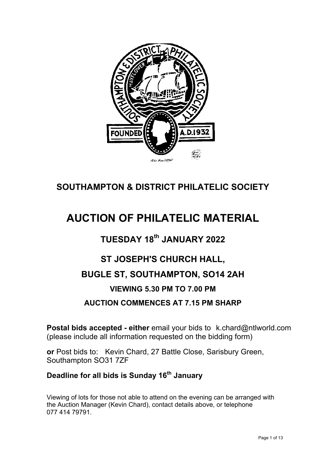

## **SOUTHAMPTON & DISTRICT PHILATELIC SOCIETY**

## **AUCTION OF PHILATELIC MATERIAL**

## **TUESDAY 18th JANUARY 2022**

# **ST JOSEPH'S CHURCH HALL, BUGLE ST, SOUTHAMPTON, SO14 2AH VIEWING 5.30 PM TO 7.00 PM AUCTION COMMENCES AT 7.15 PM SHARP**

**Postal bids accepted - either** email your bids to k.chard@ntlworld.com (please include all information requested on the bidding form)

**or** Post bids to: Kevin Chard, 27 Battle Close, Sarisbury Green, Southampton SO31 7ZF

#### **Deadline for all bids is Sunday 16th January**

Viewing of lots for those not able to attend on the evening can be arranged with the Auction Manager (Kevin Chard), contact details above, or telephone 077 414 79791.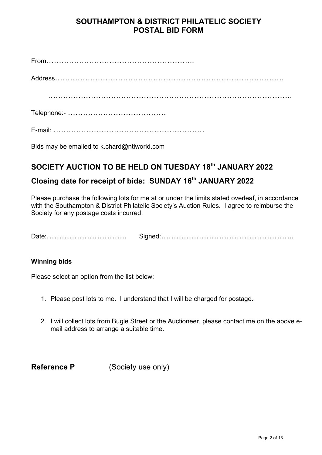#### **SOUTHAMPTON & DISTRICT PHILATELIC SOCIETY POSTAL BID FORM**

E-mail: ……………………………………………………

Bids may be emailed to k.chard@ntlworld.com

#### **SOCIETY AUCTION TO BE HELD ON TUESDAY 18th JANUARY 2022**

#### **Closing date for receipt of bids: SUNDAY 16th JANUARY 2022**

Please purchase the following lots for me at or under the limits stated overleaf, in accordance with the Southampton & District Philatelic Society's Auction Rules. I agree to reimburse the Society for any postage costs incurred.

Date:………………………….. Signed:……………………………………………..

#### **Winning bids**

Please select an option from the list below:

- 1. Please post lots to me. I understand that I will be charged for postage.
- 2. I will collect lots from Bugle Street or the Auctioneer, please contact me on the above email address to arrange a suitable time.

**Reference P** (Society use only)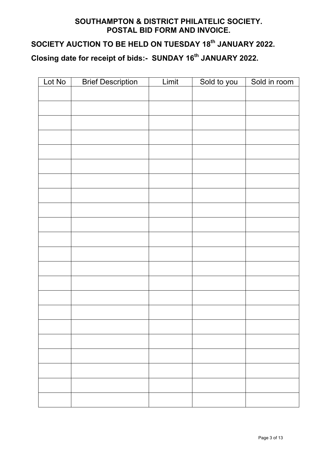#### **SOUTHAMPTON & DISTRICT PHILATELIC SOCIETY. POSTAL BID FORM AND INVOICE.**

## **SOCIETY AUCTION TO BE HELD ON TUESDAY 18th JANUARY 2022.**

### **Closing date for receipt of bids:- SUNDAY 16th JANUARY 2022.**

| Lot No | <b>Brief Description</b> | Limit | Sold to you | Sold in room |
|--------|--------------------------|-------|-------------|--------------|
|        |                          |       |             |              |
|        |                          |       |             |              |
|        |                          |       |             |              |
|        |                          |       |             |              |
|        |                          |       |             |              |
|        |                          |       |             |              |
|        |                          |       |             |              |
|        |                          |       |             |              |
|        |                          |       |             |              |
|        |                          |       |             |              |
|        |                          |       |             |              |
|        |                          |       |             |              |
|        |                          |       |             |              |
|        |                          |       |             |              |
|        |                          |       |             |              |
|        |                          |       |             |              |
|        |                          |       |             |              |
|        |                          |       |             |              |
|        |                          |       |             |              |
|        |                          |       |             |              |
|        |                          |       |             |              |
|        |                          |       |             |              |
|        |                          |       |             |              |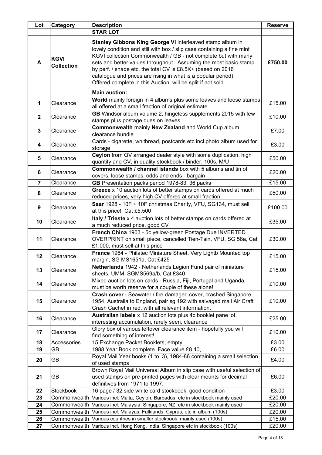| Lot                     | Category                         | <b>Description</b>                                                                                                                                                                                                                                                                                                                                                                                                                                                       | <b>Reserve</b> |
|-------------------------|----------------------------------|--------------------------------------------------------------------------------------------------------------------------------------------------------------------------------------------------------------------------------------------------------------------------------------------------------------------------------------------------------------------------------------------------------------------------------------------------------------------------|----------------|
|                         |                                  | <b>STAR LOT</b>                                                                                                                                                                                                                                                                                                                                                                                                                                                          |                |
| $\blacktriangle$        | <b>KGVI</b><br><b>Collection</b> | Stanley Gibbons King George VI interleaved stamp album in<br>lovely condition and still with box / slip case containing a fine mint<br>KGVI collection Commonwealth / GB - not complete but with many<br>sets and better values throughout. Assuming the most basic stamp<br>by perf. / shade etc, the total CV is £8.5K+ (based on 2016<br>catalogue and prices are rising in what is a popular period).<br>Offered complete in this Auction, will be split if not sold | £750.00        |
|                         |                                  | <b>Main auction:</b>                                                                                                                                                                                                                                                                                                                                                                                                                                                     |                |
| 1                       | Clearance                        | World mainly foreign in 4 albums plus some leaves and loose stamps<br>all offered at a small fraction of original estimate                                                                                                                                                                                                                                                                                                                                               | £15.00         |
| $\mathbf{2}$            | Clearance                        | GB Windsor album volume 2, hingeless supplements 2015 with few<br>stamps plus postage dues on leaves                                                                                                                                                                                                                                                                                                                                                                     | £10.00         |
| $\mathbf{3}$            | Clearance                        | Commonwealth mainly New Zealand and World Cup album<br>clearance bundle                                                                                                                                                                                                                                                                                                                                                                                                  | £7.00          |
| $\overline{\mathbf{4}}$ | Clearance                        | Cards - cigarette, whitbread, postcards etc incl.photo album used for<br>storage                                                                                                                                                                                                                                                                                                                                                                                         | £3.00          |
| $5\phantom{1}$          | Clearance                        | Ceylon from QV arranged dealer style with some duplication, high<br>quantity and CV, in quality stockbook / binder, 100s, M/U                                                                                                                                                                                                                                                                                                                                            | £50.00         |
| 6                       | Clearance                        | Commonwealth / channel islands box with 5 albums and tin of<br>covers, loose stamps, odds and ends - bargain                                                                                                                                                                                                                                                                                                                                                             | £20.00         |
| $\overline{7}$          | Clearance                        | GB Presentation packs period 1978-83, 36 packs                                                                                                                                                                                                                                                                                                                                                                                                                           | £15.00         |
| 8                       | Clearance                        | Greece x 10 auction lots of better stamps on cards offered at much<br>reduced prices, very high CV offered at small fraction                                                                                                                                                                                                                                                                                                                                             | £50.00         |
| $\boldsymbol{9}$        | Clearance                        | Saar 1928 - 10F + 10F christmas Charity, VFU, SG134, must sell<br>at this price! Cat £5,500                                                                                                                                                                                                                                                                                                                                                                              | £100.00        |
| 10                      | Clearance                        | Italy / Trieste x 4 auction lots of better stamps on cards offered at<br>a much reduced price, good CV                                                                                                                                                                                                                                                                                                                                                                   | £35.00         |
| 11                      | Clearance                        | French China 1903 - 5c yellow-green Postage Due INVERTED<br>OVERPRINT on small piece, cancelled Tien-Tsin, VFU, SG 58a, Cat<br>£1,000, must sell at this price                                                                                                                                                                                                                                                                                                           | £30.00         |
| 12                      | Clearance                        | France 1964 - Philatec Miniature Sheet, Very Lightb Mounted top<br>margin, SG MS1651a, Cat £425                                                                                                                                                                                                                                                                                                                                                                          | £15.00         |
| 13                      | Clearance                        | Netherlands 1942 - Netherlands Legion Fund pair of miniature<br>sheets, UMM, SGMS569a/b, Cat £340                                                                                                                                                                                                                                                                                                                                                                        | £15.00         |
| 14                      | Clearance                        | Mixed auction lots on cards - Russia, Fiji, Portugal and Uganda,<br>must be worth reserve for a couple of these alone!                                                                                                                                                                                                                                                                                                                                                   | £10.00         |
| 15                      | Clearance                        | Crash cover - Seawater / fire damaged cover, crashed Singapore<br>1954, Australia to England, pair sg 192 with salvaged mail Air Craft<br>Crash Cachet in red, with all relevant information.                                                                                                                                                                                                                                                                            | £10.00         |
| 16                      | Clearance                        | Australian labels x 12 auction lots plus 4c booklet pane lot,<br>interesting accumulation, rarely seen, clearance                                                                                                                                                                                                                                                                                                                                                        | £25.00         |
| 17                      | Clearance                        | Glory box of various leftover clearance item - hopefully you will<br>find something of interest!                                                                                                                                                                                                                                                                                                                                                                         | £10.00         |
| 18                      | Accessories                      | 15 Exchange Packet Booklets, empty                                                                                                                                                                                                                                                                                                                                                                                                                                       | £3.00          |
| 19                      | GB                               | 1988 Year Book complete. Face value £8.40,                                                                                                                                                                                                                                                                                                                                                                                                                               | £6.00          |
| 20                      | GB                               | Royal Mail Year books (1 to 3), 1984-86 containing a small selection<br>of used stamps                                                                                                                                                                                                                                                                                                                                                                                   | £4.00          |
| 21                      | GB                               | Brown Royal Mail Universal Album in slip case with useful selection of<br>used stamps on pre-printed pages with clear mounts for decimal<br>definitives from 1971 to 1997.                                                                                                                                                                                                                                                                                               | £6.00          |
| 22                      | Stockbook                        | 16 page / 32 side white card stockbook, good condition                                                                                                                                                                                                                                                                                                                                                                                                                   | £3.00          |
| 23                      |                                  | Commonwealth Various incl. Malta, Ceylon, Barbados, etc in stockbook mainly used                                                                                                                                                                                                                                                                                                                                                                                         | £20.00         |
| 24                      |                                  | Commonwealth Various incl. Malaysia, Singapore, NZ, etc in stockbook mainly used                                                                                                                                                                                                                                                                                                                                                                                         | £20.00         |
| 25                      |                                  | Commonwealth Various incl. Malayas, Falklands, Cyprus, etc in album (100s)                                                                                                                                                                                                                                                                                                                                                                                               | £20.00         |
| 26                      |                                  | Commonwealth Various countries in smaller stockbook, mainly used (100s)                                                                                                                                                                                                                                                                                                                                                                                                  | £15.00         |
| 27                      |                                  | Commonwealth Various incl. Hong Kong, India, Singapore etc in stockbook (100s)                                                                                                                                                                                                                                                                                                                                                                                           | £20.00         |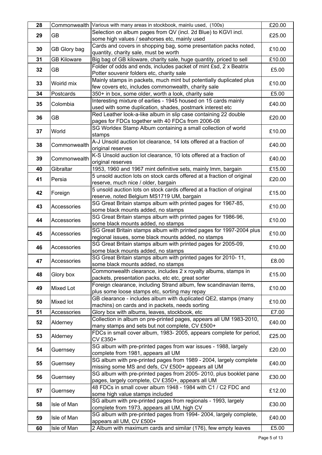| 28 |                    | Commonwealth Various with many areas in stockbook, mainlu used, (100s) | £20.00 |
|----|--------------------|------------------------------------------------------------------------|--------|
|    |                    | Selection on album pages from QV (incl. 2d Blue) to KGVI incl.         |        |
| 29 | GB                 | some high values / seahorses etc, mainly used                          | £25.00 |
|    |                    |                                                                        |        |
| 30 | GB Glory bag       | Cards and covers in shopping bag, some presentation packs noted,       | £10.00 |
|    |                    | quantity, charity sale, must be worth                                  |        |
| 31 | <b>GB Kiloware</b> | Big bag of GB kiloware, charity sale, huge quantity, priced to sell    | £10.00 |
| 32 | <b>GB</b>          | Folder of odds and ends, includes packet of mint £sd, 2 x Beatrix      | £5.00  |
|    |                    | Potter souvenir folders etc, charity sale                              |        |
| 33 | Woirld mix         | Mainly stamps in packets, much mint but potentially duplicated plus    | £10.00 |
|    |                    | few covers etc, includes commonwealth, charity sale                    |        |
| 34 | Postcards          | 350+ in box, some older, worth a look, charity sale                    | £5.00  |
|    |                    | Interesting mixture of earlies - 1945 housed on 15 cards mainly        |        |
| 35 | Colombia           | used with some duplication, shades, postmark interest etc              | £40.00 |
|    |                    | Red Leather look-a-like album in slip case containing 22 double        |        |
| 36 | GB                 | pages for FDCs together with 40 FDCs from 2006-08                      | £20.00 |
|    |                    | SG Worldex Stamp Album containing a small collection of world          |        |
| 37 | World              | stamps                                                                 | £10.00 |
|    |                    | A-J Unsold auction lot clearance, 14 lots offered at a fraction of     |        |
| 38 | Commonwealth       |                                                                        | £40.00 |
|    |                    | original reserves                                                      |        |
| 39 | Commonwealth       | K-S Unsold auction lot clearance, 10 lots offered at a fraction of     | £40.00 |
|    |                    | original reserves                                                      |        |
| 40 | Gibraltar          | 1953, 1960 and 1967 mint definitive sets, mainly lmm, bargain          | £15.00 |
| 41 | Persia             | 5 unsold auction lots on stock cards offered at a fraction of original | £20.00 |
|    |                    | reserve, much nice / older, bargain                                    |        |
| 42 |                    | 5 unsold auction lots on stock cards offered at a fraction of original | £15.00 |
|    | Foreign            | reserve, noted Belgium MS1719 UM, bargain                              |        |
|    |                    | SG Great Britain stamps album with printed pages for 1967-85,          |        |
| 43 | Accessories        | some black mounts added, no stamps                                     | £10.00 |
|    |                    | SG Great Britain stamps album with printed pages for 1986-96,          |        |
| 44 | Accessories        | some black mounts added, no stamps                                     | £10.00 |
|    |                    | SG Great Britain stamps album with printed pages for 1997-2004 plus    |        |
| 45 | Accessories        | regional issues, some black mounts added, no stamps                    | £10.00 |
|    |                    | SG Great Britain stamps album with printed pages for 2005-09,          |        |
| 46 | Accessories        | some black mounts added, no stamps                                     | £10.00 |
|    |                    | SG Great Britain stamps album with printed pages for 2010-11,          |        |
| 47 | Accessories        |                                                                        | £8.00  |
|    |                    | some black mounts added, no stamps                                     |        |
| 48 | Glory box          | Commonwealth clearance, includes 2 x royalty albums, stamps in         | £15.00 |
|    |                    | packets, presentation packs, etc etc, great sorter                     |        |
| 49 | Mixed Lot          | Foreign clearance, including Strand album, few scandinavian items,     | £10.00 |
|    |                    | plus some loose stamps etc, sorting may repay                          |        |
| 50 | Mixed lot          | GB clearance - includes album with duplicated QE2, stamps (many        | £10.00 |
|    |                    | machins) on cards and in packets, needs sorting                        |        |
| 51 | Accessories        | Glory box with albums, leaves, stockbook, etc                          | £7.00  |
|    |                    | Collection in album on pre-printed pages, appears all UM 1983-2010,    | £40.00 |
| 52 | Alderney           | many stamps and sets but not complete, CV £500+                        |        |
|    |                    | FDCs in small cover album, 1983- 2005, appears complete for period,    |        |
| 53 | Alderney           | CV £350+                                                               | £25.00 |
|    |                    | SG album with pre-printed pages from war issues - 1988, largely        |        |
| 54 | Guernsey           | complete from 1981, appears all UM                                     | £20.00 |
|    |                    | SG album with pre-printed pages from 1989 - 2004, largely complete     |        |
| 55 | Guernsey           | missing some MS and defs, CV £500+ appears all UM                      | £40.00 |
|    |                    | SG album with pre-printed pages from 2005- 2010, plus booklet pane     |        |
| 56 | Guernsey           | pages, largely complete, CV £350+, appears all UM                      | £30.00 |
|    |                    | 48 FDCs in small cover album 1948 - 1984 with C1 / C2 FDC and          |        |
| 57 | Guernsey           |                                                                        | £12.00 |
|    |                    | some high value stamps included                                        |        |
| 58 | Isle of Man        | SG album with pre-printed pages from regionals - 1993, largely         | £30.00 |
|    |                    | complete from 1973, appears all UM, high CV                            |        |
| 59 | Isle of Man        | SG album with pre-printed pages from 1994- 2004, largely complete,     | £40.00 |
|    |                    | appears all UM, CV £500+                                               |        |
| 60 | Isle of Man        | 2 Album with maximum cards and similar (176), few empty leaves         | £5.00  |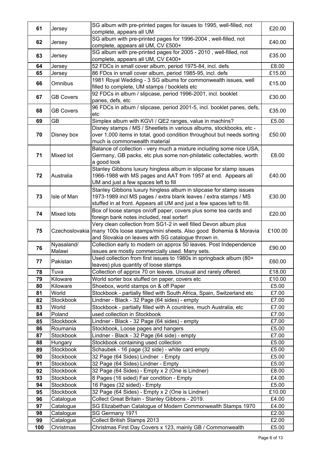| 61       | Jersey           | SG album with pre-printed pages for issues to 1995, well-filled, not                                    | £20.00           |
|----------|------------------|---------------------------------------------------------------------------------------------------------|------------------|
|          |                  | complete, appears all UM                                                                                |                  |
| 62       | Jersey           | SG album with pre-printed pages for 1996-2004, well-filled, not                                         | £40.00           |
|          |                  | complete, appears all UM, CV £500+<br>SG album with pre-printed pages for 2005 - 2010, well-filled, not |                  |
| 63       | Jersey           | complete, appears all UM, CV £400+                                                                      | £35.00           |
| 64       | Jersey           | 52 FDCs in small cover album, period 1975-84, incl. defs                                                | £8.00            |
| 65       | Jersey           | 86 FDcs in small cover album, period 1985-95, incl. defs                                                | £15.00           |
|          |                  | 1981 Royal Wedding - 3 SG albums for commonwealth issues, well                                          |                  |
| 66       | Omnibus          | filled to complete, UM stamps / booklets etc                                                            | £15.00           |
|          |                  | 92 FDCs in album / slipcase, period 1996-2001, incl. booklet                                            |                  |
| 67       | <b>GB Covers</b> | panes, defs, etc                                                                                        | £30.00           |
|          | <b>GB Covers</b> | 96 FDCs in album / slipcase, period 2001-5, incl. booklet panes, defs,                                  |                  |
| 68       |                  | etc                                                                                                     | £35.00           |
| 69       | <b>GB</b>        | Simplex album with KGVI / QE2 ranges, value in machins?                                                 | £5.00            |
|          |                  | Disney stamps / MS / Sheetlets in various albums, stockbooks, etc -                                     |                  |
| 70       | Disney box       | over 1,000 items in total, good condition throughout but needs sorting                                  | £50.00           |
|          |                  | much is commonwealth material                                                                           |                  |
|          |                  | Balance of collection - very much a mixture including some nice USA,                                    |                  |
| 71       | Mixed lot        | Germany, GB packs, etc plus some non-philatelic collectables, worth                                     | £8.00            |
|          |                  | a good look                                                                                             |                  |
| 72       | Australia        | Stanley Gibbons luxury hingless album in slipcase for stamp issues                                      | £40.00           |
|          |                  | 1966-1988 with MS pages and AAT from 1957 at end. Appears all<br>UM and just a few spaces left to fill  |                  |
|          |                  | Stanley Gibbons luxury hingless album in slipcase for stamp issues                                      |                  |
| 73       | Isle of Man      | 1973-1989 incl MS pages / extra blank leaves / extra stamps / MS                                        | £30.00           |
|          |                  | stuffed in at front. Appears all UM and just a few spaces left to fill.                                 |                  |
|          |                  | Box of loose stamps on/off paper, covers plus some tea cards and                                        |                  |
| 74       | Mixed lots       | foreign bank notes included, real sorter!                                                               | £20.00           |
|          |                  | Very clean collection from SG1-2 in well filled Devon album plus                                        |                  |
| 75       |                  | Czechoslovakia <mark> </mark> many 100s loose stamps/mini sheets. Also good  Bohemia & Moravia          | £100.00          |
|          |                  | and Slovakia on leaves with SG catalogue thrown in.                                                     |                  |
| 76       | Nyasaland/       | Collection early to modern on approx 50 leaves. Post Independence                                       | £90.00           |
|          | Malawi           | issues are mostly commercially used. Many sets.                                                         |                  |
| 77       | Pakistan         | Used collection from first issues to 1980s in springback album (80+                                     | £60.00           |
|          |                  | leaves) plus quantity of loose stamps                                                                   |                  |
| 78<br>79 | Tuva<br>Kiloware | Collection of approx 70 on leaves. Unusual and rarely offered.                                          | £18.00<br>£10.00 |
| 80       | Kiloware         | World sorter box stuffed on paper, covers etc<br>Shoebox, world stamps on & off Paper                   | £5.00            |
| 81       | World            | Stockbook - partially filled with South Africa, Spain, Switzerland etc                                  | £7.00            |
| 82       | Stockbook        | Lindner - Black - 32 Page (64 sides) - empty                                                            | £7.00            |
| 83       | World            | Stockbook - partially filled with A countries, much Australia, etc                                      | £7.00            |
| 84       | Poland           | used collection in Stockbook                                                                            | £7.00            |
| 85       | Stockbook        | Lindner - Black - 32 Page (64 sides) - empty                                                            | £7.00            |
| 86       | Roumania         | Stockbook, Loose pages and hangers                                                                      | £5.00            |
| 87       | Stockbook        | Lindner - Black - 32 Page (64 side) - empty                                                             | £7.00            |
| 88       | Hungary          | Stockbook containing used collection                                                                    | £5.00            |
| 89       | Stockbook        | Schaubek - 16 page (32 side) - white card empty                                                         | £5.00            |
| 90       | Stockbook        | 32 Page (64 Sides) Lindner - Empty                                                                      | £5.00            |
| 91       | Stockbook        | 32 Page (64 Sides) Lindner - Empty                                                                      | £5.00            |
| 92       | Stockbook        | 32 Page (64 Sides) - Empty x 2 (One is Lindner)                                                         | £8.00            |
| 93       | Stockbook        | 8 Pages (16 sided) Fair condition - Empty                                                               | £4.00            |
| 94       | Stockbook        | 16 Pages (32 sided) - Empty                                                                             | £5.00            |
| 95       | Stockbook        | 32 Page (64 Sides) - Empty x 2 (One is Lindner)                                                         | £10.00           |
| 96       | Catalogue        | Collect Great Britain - Stanley Gibbons - 2019.                                                         | £4.00            |
| 97       | Catalogue        | SG Elizabethan Catalogue of Modern Commonwealth Stamps 1970                                             | £4.00            |
| 98       | Catalogue        | SG Germany 1971                                                                                         | £2.00            |
| 99       | Catalogue        | Collect British Stamps 2013                                                                             | £2.00            |
| 100      | Christmas        | Christmas First Day Covers x 123, mainly GB / Commonwealth                                              | £5.00            |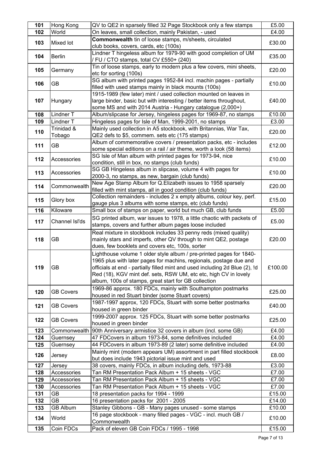| 101        | Hong Kong                | QV to QE2 in sparsely filled 32 Page Stockbook only a few stamps                                                                                                                                                                                                                                                                                     | £5.00            |
|------------|--------------------------|------------------------------------------------------------------------------------------------------------------------------------------------------------------------------------------------------------------------------------------------------------------------------------------------------------------------------------------------------|------------------|
| 102        | World                    | On leaves, small collection, mainly Pakistan, - used                                                                                                                                                                                                                                                                                                 | £4.00            |
| 103        | Mixed lot                | Commonwealth tin of loose stamps, m/sheets, circulated<br>club books, covers, cards, etc (100s)                                                                                                                                                                                                                                                      | £30.00           |
| 104        | <b>Berlin</b>            | Lindner T hingeless album for 1979-90 with good completion of UM<br>/ FU / CTO stamps, total CV £550+ (240)                                                                                                                                                                                                                                          | £35.00           |
| 105        | Germany                  | Tin of loose stamps, early to modern plus a few covers, mini sheets,<br>etc for sorting (100s)                                                                                                                                                                                                                                                       | £20.00           |
| 106        | GВ                       | SG album with printed pages 1952-84 incl. machin pages - partially<br>filled with used stamps mainly in black mounts (100s)                                                                                                                                                                                                                          | £10.00           |
| 107        | Hungary                  | 1915-1989 (few later) mint / used collection mounted on leaves in<br>large binder, basic but with interesting / better items throughout,<br>some MS and with 2014 Austria - Hungary catalogue (2,000+)                                                                                                                                               | £40.00           |
| 108        | Lindner T                | Album/slipcase for Jersey, hingeless pages for 1969-87, no stamps                                                                                                                                                                                                                                                                                    | £10.00           |
| 109        | Lindner T                | Hingeless pages for Isle of Man, 1999-2001, no stamps                                                                                                                                                                                                                                                                                                | £3.00            |
| 110        | Trinidad &<br>Tobago     | Mainly used collection in A5 stockbook, with Britannias, War Tax,<br>QE2 defs to \$5, commem. sets etc (175 stamps)                                                                                                                                                                                                                                  | £20.00           |
| 111        | GB                       | Album of commemorative covers / presentation packs, etc - includes<br>some special editions on a rail / air theme, worth a look (58 items)                                                                                                                                                                                                           | £12.00           |
| 112        | Accessories              | SG Isle of Man album with printed pages for 1973-94, nice<br>condition, still in box, no stamps (club funds)                                                                                                                                                                                                                                         | £10.00           |
| 113        | Accessories              | SG GB Hingeless album in slipcase, volume 4 with pages for<br>2000-3, no stamps, as new, bargain (club funds)                                                                                                                                                                                                                                        | £10.00           |
| 114        | Commonwealth             | New Age Stamp Album for Q. Elizabeth issues to 1958 sparsely<br>filled with mint stamps, all in good condition (club funds)                                                                                                                                                                                                                          | £20.00           |
| 115        | Glory box                | Collection remainders - includes 2 x empty albums, colour key, perf.<br>gauge plus 3 albums with some stamps, etc (club funds)                                                                                                                                                                                                                       | £15.00           |
| 116        | Kiloware                 | Small box of stamps on paper, world but much GB, club funds                                                                                                                                                                                                                                                                                          | £5.00            |
| 117        | Channel Isl'ds           | SG printed album, war issues to 1978, a little chaotic with packets of<br>stamps, covers and further album pages loose included                                                                                                                                                                                                                      | £5.00            |
| 118        | GВ                       | Real mixture in stockbook includes 33 penny reds (mixed quality)<br>mainly stars and imperfs, other QV through to mint QE2, postage<br>dues, few booklets and covers etc, 100s, sorter                                                                                                                                                               | £20.00           |
| 119        | GB                       | Lighthouse volume 1 older style album / pre-printed pages for 1840-<br>1965 plus with later pages for machins, regionals, postage due and<br>officials at end - partially filled mint and used including 2d Blue (2), !d<br>Red (18), KGV mint def. sets, RSW UM, etc etc, high CV in lovely<br>album, 100s of stamps, great start for GB collection | £100.00          |
| 120        | <b>GB Covers</b>         | 1969-86 approx. 180 FDCs, mainly with Southampton postmarks<br>housed in red Stuart binder (some Stuart covers)                                                                                                                                                                                                                                      | £25.00           |
| 121        | <b>GB Covers</b>         | 1987-1997 approx, 120 FDCs, Stuart with some better postmarks<br>housed in green binder                                                                                                                                                                                                                                                              | £40.00           |
| 122        | <b>GB Covers</b>         | 1999-2007 approx. 125 FDCs, Stuart with some better postmarks<br>housed in green binder                                                                                                                                                                                                                                                              | £25.00           |
| 123        | Commonwealth             | 90th Anniversary armistice 32 covers in album (incl. some GB)                                                                                                                                                                                                                                                                                        | £4.00            |
| 124        | Guernsey                 | 47 FDCovers in album 1973-84, some definitives included                                                                                                                                                                                                                                                                                              | £4.00            |
| 125        | Guernsey                 | 44 FDCovers in album 1973-89 (2 later) some definitive included                                                                                                                                                                                                                                                                                      | £4.00            |
| 126        | Jersey                   | Mainly mint (modern appears UM) assortment in part filled stockbook<br>but does include 1943 pictorial issue mint and used                                                                                                                                                                                                                           | £8.00            |
| 127        | Jersey                   | 38 covers, mainly FDCs, in album including defs, 1973-88                                                                                                                                                                                                                                                                                             | £3.00            |
| 128        | Accessories              | Tan RM Presentation Pack Album + 15 sheets - VGC                                                                                                                                                                                                                                                                                                     | £7.00            |
| 129        | Accessories              | Tan RM Presentation Pack Album + 15 sheets - VGC                                                                                                                                                                                                                                                                                                     | £7.00            |
| 130        | Accessories              | Tan RM Presentation Pack Album + 15 sheets - VGC                                                                                                                                                                                                                                                                                                     | £7.00            |
| 131        | GВ                       | 18 presentation packs for 1994 - 1999                                                                                                                                                                                                                                                                                                                | £15.00           |
| 132        | GВ                       | 16 presentation packs for 2001 - 2005                                                                                                                                                                                                                                                                                                                | £14.00           |
| 133<br>134 | <b>GB Album</b><br>World | Stanley Gibbons - GB - Many pages unused - some stamps<br>16 page stockbook - many filled pages - VGC - incl. much GB /                                                                                                                                                                                                                              | £10.00<br>£10.00 |
| 135        | Coin FDCs                | Commonwealth<br>Pack of eleven GB Coin FDCs / 1995 - 1998                                                                                                                                                                                                                                                                                            | £15.00           |
|            |                          |                                                                                                                                                                                                                                                                                                                                                      |                  |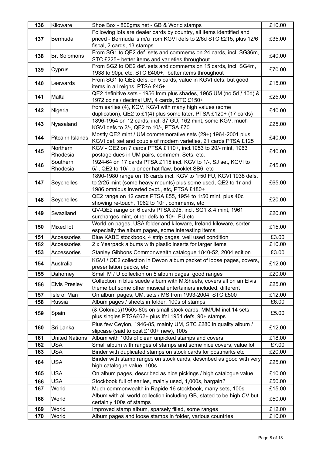| 136 | Kiloware                   | Shoe Box - 800gms net - GB & World stamps                                                                            | £10.00             |
|-----|----------------------------|----------------------------------------------------------------------------------------------------------------------|--------------------|
|     |                            | Following lots are dealer cards by country, all items identified and                                                 |                    |
| 137 | Bermuda                    | priced - Bermuda is m/u from KGVI defs to 2/6d STC £215, plus 12/6                                                   | £35.00             |
|     |                            | fiscal, 2 cards, 13 stamps                                                                                           |                    |
| 138 | Br. Solomons               | From SG1 to QE2 def. sets and commems on 24 cards, incl. SG36m,                                                      | £40.00             |
|     |                            | STC £225+ better items and varieties throughout                                                                      |                    |
| 139 | Cyprus                     | From SG2 to QE2 def. sets and commems on 15 cards, incl. SG4m,                                                       | £70.00             |
|     |                            | 1938 to 90pi, etc. STC £400+, better items throughout                                                                |                    |
| 140 | Leewards                   | From SG1 to QE2 defs. on 5 cards, value in KGVI defs. but good<br>items in all reigns, PTSA £45+                     | £15.00             |
|     |                            | QE2 definitive sets - 1956 lmm plus shades, 1965 UM (no 5d / 10d) &                                                  |                    |
| 141 | Malta                      | 1972 coins / decimal UM, 4 cards, STC £150+                                                                          | £25.00             |
|     |                            | from earlies (4), KGV, KGVI with many high values (some                                                              |                    |
| 142 | Nigeria                    | duplication), QE2 to £1(4) plus some later, PTSA £120+ (17 cards)                                                    | £40.00             |
| 143 | Nyasaland                  | 1896-1954 on 12 cards, incl. 37 GU, 162 mint, some KGV, much                                                         | £25.00             |
|     |                            | KGVI defs to 2/-, QE2 to 10/-, PTSA £70                                                                              |                    |
| 144 | Pitcairn Islands           | Mostly QE2 mint / UM commemorative sets (29+) 1964-2001 plus                                                         | £40.00             |
|     |                            | KGVI def. set and couple of modern varieties, 21 cards PTSA £125                                                     |                    |
| 145 | Northern<br>Rhodesia       | KGV - QE2 on 7 cards PTSA £110+, incl.1953 to 20/- mint, 1963<br>postage dues in UM pairs, commem. Sets, etc.        | £40.00             |
|     | Southern                   | 1924-64 on 17 cards PTSA £115 incl. KGV to 1/-, SJ set, KGVI to                                                      |                    |
| 146 | Rhodesia                   | 5/-, QE2 to 10/-, pioneer hat flaw, booklet SB6, etc                                                                 | £45.00             |
|     |                            | 1890-1980 range on 16 cards incl. KGV to 1r50 FU, KGVI 1938 defs.                                                    |                    |
| 147 | Seychelles                 | to 2r25 mint (some heavy mounts) plus some used, QE2 to 1r and                                                       | £65.00             |
|     |                            | 1986 omnibus inverted ovpt., etc, PTSA £180+                                                                         |                    |
|     |                            | QE2 range on 12 cards PTSA £55, 1954 to 1r50 mint, plus 40c                                                          |                    |
| 148 | Seychelles                 | showing re-touch, 1962 to 10r, commems, etc                                                                          | £20.00             |
| 149 | Swaziland                  | QV-QE2 range on 6 cards PTSA £95, incl. SG1 & 4 mint, 1961                                                           | £20.00             |
|     |                            | surcharges mint, other defs to 10/- FU etc                                                                           |                    |
| 150 | Mixed lot                  | World on pages, USA folder and kiloware, Ireland kiloware, sorter                                                    | £15.00             |
| 151 |                            | especially the album pages, some interesting items                                                                   | £3.00              |
| 152 | Accessories<br>Accessories | Blue KABE stockbook, 4 strip pages, well used condition<br>2 x Yearpack albums with plastic inserts for larger items | £10.00             |
| 153 | Accessories                | Stanley Gibbons Commonwealth catalogue 1840-52, 2004 edition                                                         | £3.00              |
|     |                            |                                                                                                                      |                    |
| 154 | Australia                  | KGVI / QE2 collection in Devon album packet of loose pages, covers,<br>presentation packs, etc                       | £12.00             |
| 155 | Dahomey                    | Small M / U collection on 5 album pages, good ranges                                                                 | £20.00             |
|     |                            | Collection in blue suede album with M. Sheets, covers all on an Elvis                                                |                    |
| 156 | <b>Elvis Presley</b>       | theme but some other musical entertainers included, different                                                        | £25.00             |
| 157 | Isle of Man                | On album pages, UM, sets / MS from 1993-2004, STC £500                                                               | £12.00             |
| 158 | Russia                     | Album pages / sheets in folder, 100s of stamps                                                                       | £6.00              |
|     |                            | (& Colonies)1950s-80s on small stock cards, MM/UM incl.14 sets                                                       |                    |
| 159 | Spain                      | plus singles PTSA£62+ plus Ifni 1954 defs, 90+ stamps                                                                | £5.00              |
| 160 | Sri Lanka                  | Plus few Ceylon, 1946-85, mainly UM, STC £280 in quality album /                                                     | £12.00             |
|     |                            | slipcase (said to cost £100+ new), 100s                                                                              |                    |
| 161 | <b>United Nations</b>      | Album with 100s of clean unpicked stamps and covers                                                                  | £18.00             |
| 162 | <b>USA</b>                 | Small album with ranges of stamps and some nice covers, value lot                                                    | $\overline{E7.00}$ |
| 163 | <b>USA</b>                 | Binder with duplicated stamps on stock cards for postmarks etc                                                       | £20.00             |
| 164 | <b>USA</b>                 | Binder with stamp ranges on stock cards, described as good with very                                                 | £25.00             |
|     |                            | high catalogue value, 100s                                                                                           |                    |
| 165 | <b>USA</b>                 | On album pages, described as nice pickings / high catalogue value                                                    | £10.00             |
| 166 | <b>USA</b>                 | Stockbook full of earlies, mainly used, 1,000s, bargain?                                                             | £50.00             |
| 167 | World                      | Much commonwealth in Rapide 16 stockbook, many sets, 100s                                                            | £15.00             |
| 168 | World                      | Album with all world collection including GB, stated to be high CV but<br>certainly 100s of stamps                   | £50.00             |
| 169 | World                      | Improved stamp album, sparsely filled, some ranges                                                                   | £12.00             |
| 170 | World                      | Album pages and loose stamps in folder, various countries                                                            | £10.00             |
|     |                            |                                                                                                                      |                    |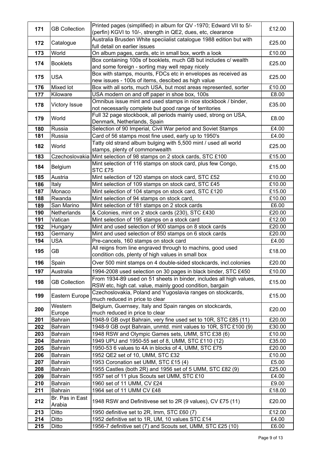|     |                      | Printed pages (simplified) in album for QV-1970; Edward VII to 5/-    |        |
|-----|----------------------|-----------------------------------------------------------------------|--------|
| 171 | <b>GB Collection</b> | (perfin) KGVI to 10/-, strength in QE2, dues, etc, clearance          | £12.00 |
|     |                      | Australia Brusden White speciialist catalogue 1988 edition but with   |        |
| 172 | Catalogue            | full detail on earlier issues                                         | £25.00 |
| 173 | World                | On album pages, cards, etc in small box, worth a look                 | £10.00 |
|     |                      | Box containing 100s of booklets, much GB but includes c/ wealth       |        |
| 174 | <b>Booklets</b>      | and some foreign - sorting may well repay nicely                      | £25.00 |
|     |                      | Box with stamps, mounts, FDCs etc in envelopes as received as         |        |
| 175 | <b>USA</b>           | new issues - 100s of items, descibed as high value                    | £25.00 |
| 176 | Mixed lot            | Box with all sorts, much USA, but most areas represented, sorter      | £10.00 |
| 177 | Kiloware             | USA modern on and off paper in shoe box, 100s                         | £8.00  |
|     |                      | Omnibus issue mint and used stamps in nice stockbook / binder,        |        |
| 178 | Victory Issue        | not necessarily complete but good range of territories                | £35.00 |
|     |                      | Full 32 page stockbook, all periods mainly used, strong on USA,       |        |
| 179 | World                | Denmark, Netherlands, Spain                                           | £8.00  |
| 180 | Russia               | Selection of 90 Imperial, Civil War period and Soviet Stamps          | £4.00  |
| 181 | Russia               | Card of 56 stamps most fine used, early up to 1950's                  | £4.00  |
|     |                      | Tatty old strand album bulging with 5,500 mint / used all world       | £25.00 |
| 182 | World                | stamps, plenty of commonwealth                                        |        |
| 183 |                      | Czechoslovakia Mint selection of 98 stamps on 2 stock cards, STC £100 | £15.00 |
| 184 | Belgium              | Mint selection of 116 stamps on stock card, plus few Congo,           | £15.00 |
|     |                      | STC £75                                                               |        |
| 185 | Austria              | Mint selection of 120 stamps on stock card, STC £52                   | £10.00 |
| 186 | Italy                | Mint selection of 109 stamps on stock card, STC £45                   | £10.00 |
| 187 | Monaco               | Mint selection of 104 stamps on stock card, STC £120                  | £15.00 |
| 188 | Rwanda               | Mint selection of 94 stamps on stock card,                            | £10.00 |
| 189 | San Marino           | Mint selection of 181 stamps on 2 stock cards                         | £6.00  |
| 190 | Netherlands          | & Colonies, mint on 2 stock cards (230), STC £430                     | £20.00 |
| 191 | Vatican              | Mint selection of 195 stamps on a stock card                          | £12.00 |
| 192 | Hungary              | Mint and used selection of 900 stamps on 8 stock cards                | £20.00 |
| 193 | Germany              | Mint and used selection of 850 stamps on 6 stock cards                | £20.00 |
| 194 | USA                  | Pre-cancels, 160 stamps on stock card                                 | £4.00  |
| 195 | GВ                   | All reigns from line engraved through to machins, good used           | £18.00 |
|     |                      | condition cds, plenty of high values in small box                     |        |
| 196 | Spain                | Over 500 mint stamps on 4 double-sided stockcards, incl.colonies      | £20.00 |
| 197 | Australia            | 1994-2008 used selection on 30 pages in black binder, STC £450        | £10.00 |
|     |                      | From 1934-89 used on 51 sheets in binder, includes all high values,   |        |
| 198 | <b>GB Collection</b> | RSW etc, high cat. value, mainly good condition, bargain              | £15.00 |
|     |                      | Czechoslovakia, Poland and Yugoslavia ranges on stockcards,           |        |
| 199 | Eastern Europe       | much reduced in price to clear                                        | £15.00 |
|     | Western              | Belgium, Guernsey, Italy and Spain ranges on stockcards,              |        |
| 200 | Europe               | much reduced in price to clear                                        | £20.00 |
| 201 | Bahrain              | 1948-9 GB ovpt Bahrain, very fine used set to 10R, STC £85 (11)       | £20.00 |
| 202 | <b>Bahrain</b>       | 1948-9 GB ovpt Bahrain, unmtd. mint values to 10R, STC £100 (9)       | £30.00 |
| 203 | <b>Bahrain</b>       | 1948 RSW and Olympic Games sets, UMM, STC £38 (6)                     | £10.00 |
| 204 | <b>Bahrain</b>       | 1949 UPU and 1950-55 set of 8, UMM, STC £110 (12)                     | £35.00 |
| 205 | <b>Bahrain</b>       | 1950-53 6 values to 4A in blocks of 4, UMM, STC £75                   | £20.00 |
| 206 | <b>Bahrain</b>       | 1952 QE2 set of 10, UMM, STC £32                                      | £10.00 |
| 207 | <b>Bahrain</b>       | 1953 Coronation set UMM, STC £15 (4)                                  | £5.00  |
| 208 | <b>Bahrain</b>       | 1955 Castles (both 2R) and 1956 set of 5 UMM, STC £82 (9)             | £25.00 |
| 209 | <b>Bahrain</b>       | 1957 set of 11 plus Scouts set UMM, STC £10                           | £4.00  |
| 210 | <b>Bahrain</b>       | 1960 set of 11 UMM, CV £24                                            | £9.00  |
| 211 | Bahrain              | 1964 set of 11 UMM CV £48                                             | £18.00 |
|     | Br. Pas in East      |                                                                       | £20.00 |
| 212 | Arabia               | 1948 RSW and Definitivese set to 2R (9 values), CV £75 (11)           |        |
| 213 | Ditto                | 1950 definitive set to 2R, Imm, STC £60 (7)                           | £12.00 |
| 214 | Ditto                | 1952 definitive set to 1R, UM, 10 values STC £14                      | £4.00  |
| 215 | Ditto                | 1956-7 definitive set (7) and Scouts set, UMM, STC £25 (10)           | £6.00  |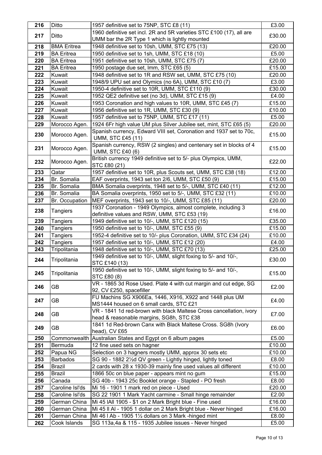| 216        | Ditto                        | 1957 definitive set to 75NP, STC £8 (11)                                                                                   | £3.00           |
|------------|------------------------------|----------------------------------------------------------------------------------------------------------------------------|-----------------|
|            |                              | 1960 definitive set incl. 2R and 5R varieties STC £100 (17), all are                                                       |                 |
| 217        | Ditto                        | UMM bar the 2R Type 1 which is lightly mounted                                                                             | £30.00          |
| 218        | <b>BMA Eritrea</b>           | 1948 definitive set to 10sh, UMM, STC £75 (13)                                                                             | £20.00          |
| 219        | <b>BA Eritrea</b>            | 1950 definitive set to 1sh, UMM, STC £18 (10)                                                                              | £5.00           |
| 220        | <b>BA Eritrea</b>            | 1951 definitive set to 10sh, UMM, STC £75 (7)                                                                              | £20.00          |
| 221        | <b>BA Eritrea</b>            | 1950 postage due set, Imm, STC £65 (5)                                                                                     | £15.00          |
| 222        | Kuwait                       | 1948 definitive set to 1R and RSW set, UMM, STC £75 (10)                                                                   | £20.00          |
| 223        | Kuwait                       | 1948/9 UPU set and Olymics (no 6A), UMM, STC £10 (7)                                                                       | £3.00           |
| 224        | Kuwait                       | 1950-4 definitive set to 10R, UMM, STC £110 (9)                                                                            | £30.00          |
| 225        | Kuwait                       | 1952 QE2 definitive set (no 3d), UMM, STC £15 (9)                                                                          | £4.00           |
| 226        | Kuwait                       | 1953 Coronation and high values to 10R, UMM, STC £45 (7)                                                                   | £15.00          |
| 227        | Kuwait                       | 1956 definitive set to 1R, UMM, STC £30 (9)                                                                                | £10.00          |
| 228        | Kuwait                       | 1957 definitive set to 75NP, UMM, STC £17 (11)                                                                             | £5.00           |
| 229        | Morocco Agen.                | 1924 6Fr high value UM plus Silver Jubilee set, mint, STC £65 (5)                                                          | £20.00          |
|            |                              | Spanish currency, Edward VIII set, Coronation and 1937 set to 70c,                                                         |                 |
| 230        | Morocco Agen.                | <b>UMM, STC £45 (11)</b>                                                                                                   | £15.00          |
| 231        | Morocco Agen.                | Spanish currency, RSW (2 singles) and centenary set in blocks of 4<br><b>UMM, STC £40 (6)</b>                              | £15.00          |
| 232        | Morocco Agen.                | British currency 1949 definitive set to 5/- plus Olympics, UMM,<br>STC £80 (21)                                            | £22.00          |
| 233        | Qatar                        | 1957 definitive set to 10R, plus Scouts set, UMM, STC £38 (18)                                                             | £12.00          |
| 234        | Br. Somalia                  | EAF overprints, 1943 set ton 2/6, UMM, STC £50 (9)                                                                         | £15.00          |
| 235        | Br. Somalia                  | BMA Somalia overprints, 1948 set to 5/-, UMM, STC £40 (11)                                                                 | £12.00          |
| 236        | Br. Somalia                  | BA Somalia overprints, 1950 set to 5/-, UMM, STC £32 (11)                                                                  | £10.00          |
| 237        | Br. Occupation               | MEF overprints, 1943 set to 10/-, UMM, STC £85 (11)                                                                        | £20.00          |
| 238        | Tangiers                     | 1937 Coronation - 1949 Olympics, almost complete, including 3<br>definitive values and RSW, UMM, STC £53 (19)              | £16.00          |
| 239        | Tangiers                     | 1949 definitive set to 10/-, UMM, STC £120 (15)                                                                            | £35.00          |
| 240        | Tangiers                     | 1950 definitive set to 10/-, UMM, STC £55 (9)                                                                              | £15.00          |
| 241        | Tangiers                     | 1952-4 definitive set to 10/- plus Coronation, UMM, STC £34 (24)                                                           | £10.00          |
| 242        | Tangiers                     | 1957 definitive set to 10/-, UMM, STC £12 (20)                                                                             | £4.00           |
| 243        | Tripolitania                 | 1948 definitive set to 10/-, UMM, STC £70 (13)                                                                             | £25.00          |
| 244        |                              | 1949 definitive set to 10/-, UMM, slight foxing to 5/- and 10/-,                                                           | £30.00          |
|            | Tripolitania                 | STC £140 (13)<br>1950 definitive set to 10/-, UMM, slight foxing to 5/- and 10/-,                                          |                 |
| 245        | Tripolitania                 | STC £80 (8)                                                                                                                | £15.00          |
| 246        | GB                           | VR - 1865 3d Rose Used. Plate 4 with cut margin and cut edge, SG<br>92, CV £250, spacefiller                               | £2.00           |
| 247        |                              | FU Machins SG X906Ea, 1446, X916, X922 and 1448 plus UM                                                                    |                 |
|            | GB                           | MS1444 housed on 6 small cards, STC £21                                                                                    | £4.00           |
| 248        | <b>GB</b>                    | VR - 1841 1d red-brown with black Maltese Cross cancellation, ivory<br>head & reasonable margins, SG8h, STC £38            | £7.00           |
| 249        | <b>GB</b>                    | 1841 1d Red-brown Canx with Black Maltese Cross. SG8h (Ivory<br>head), CV £65                                              | £6.00           |
| 250        |                              | Commonwealth Australian States and Egypt on 6 album pages                                                                  | £5.00           |
| 251        | Bermuda                      | 12 fine used sets on hagner                                                                                                | £10.00          |
| 252        | Papua NG                     | Selection on 3 hagners mostly UMM, approx 30 sets etc                                                                      | £10.00          |
| 253        | <b>Barbados</b>              |                                                                                                                            | £8.00           |
| 254        | Brazil                       | SG 90 - 1882 21/2d QV green - Lightly hinged, lightly toned                                                                | £10.00          |
| 255        | <b>Brazil</b>                | 2 cards with 28 x 1930-39 mainly fine used values all different<br>1866 50c on blue paper - appears mint no gum            | £15.00          |
| 256        | Canada                       | SG 40b - 1943 25c Booklet orange - Stapled - PO fresh                                                                      | £8.00           |
| 257        | Caroline Isl'ds              |                                                                                                                            | £20.00          |
|            | Caroline Isl'ds              | Mi 16 - 1901 1 mark red on piece - Used                                                                                    | £2.00           |
| 258        |                              | SG 22 1901 1 Mark Yacht carmine - Small hinge remainder                                                                    |                 |
| 259        | German China<br>German China | Mi 45 IAII 1905 - \$1 on 2 Mark Bright blue - Fine used                                                                    | £16.00          |
| 260<br>261 | German China                 | Mi 45 II AI - 1905 1 dollar on 2 Mark Bright blue - Never hinged<br>Mi 46 I Ab - 1905 11/2 dollars on 3 Mark - hinged mint | £16.00<br>£8.00 |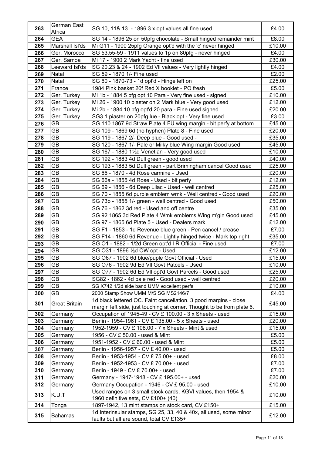| <b>GEA</b><br>SG 14 - 1896 25 on 50pfg chocolate - Small hinged remainder mint<br>£8.00<br>264<br>265<br>Marshall Isl'ds<br>Mi G11 - 1900 25pfg Orange opt'd with the 'c' never hinged<br>£10.00<br>266<br>Ger. Morocco<br>SG 53,55-59 - 1911 values to 1p on 80pfg - never hinged<br>£4.00<br>Ger. Samoa<br>267<br>Mi 17 - 1900 2 Mark Yacht - fine used<br>£30.00<br>268<br>Leeward Isl'ds<br>SG 20,23 & 24 - 1902 Ed VII values - Very lightly hinged<br>£4.00<br>SG 59 - 1870 1/- Fine used<br>269<br>Natal<br>£2.00<br>SG 60 - 1870-73 - 1d opt'd - Hinge left on<br>270<br>Natal<br>£25.00<br>271<br>France<br>1984 Pink basket 26f Red X booklet - PO fresh<br>£5.00<br>272<br>Ger. Turkey<br>Mi 1b - 1884 5 pfg opt 10 Para - Very fine used - signed<br>£10.00<br>273<br>Ger. Turkey<br>Mi 26 - 1900 10 piaster on 2 Mark blue - Very good used<br>£12.00<br>274<br>Ger. Turkey<br>Mi 2b - 1884 10 pfg opt'd 20 para - Fine used signed<br>£20.00<br>Ger. Turkey<br>SG3 1 piaster on 20pfg lue - Black opt - Very fine used<br>£3.00<br>275<br>SG 110 1867 9d Straw Plate 4 FU wing margin - bit perfy at bottom<br>276<br><b>GB</b><br>£45.00<br><b>GB</b><br>SG 109 - 1869 6d (no hyphen) Plate 8 - Fine used<br>£20.00<br>277<br>GВ<br>SG 119 - 1867 2/- Deep blue - Good used -<br>£35.00<br>278<br>279<br>GB<br>SG 120 - 1867 1/- Pale or Milky blue Wing margin Good used<br>£45.00<br>280<br><b>GB</b><br>SG 167 - 1880 11/2d Venetian - Very good used<br>£10.00<br><b>GB</b><br>SG 192 - 1883 4d Dull green - good used<br>281<br>£40.00<br><b>GB</b><br>SG 193 - 1883 5d Dull green - part Brimingham cancel Good used<br>£25.00<br>282<br>283<br><b>GB</b><br>SG 66 - 1870 - 4d Rose carmine - Used<br>£20.00<br>GB<br>£12.00<br>284<br>SG 66a - 1855 4d Rose - Used - bit perfy<br>285<br><b>GB</b><br>SG 69 - 1856 - 6d Deep Lilac - Used - well centred<br>£25.00<br>SG 70 - 1855 6d purple emblem wmk - Well centred - Good used<br>GB<br>£20.00<br>286<br>SG 73b - 1855 1/- green - well centred - Good used<br><b>GB</b><br>£50.00<br>287<br>SG 76 - 1862 3d red - Used and off centre<br>£35.00<br>288<br><b>GB</b><br>GB<br>289<br>SG 92 1865 3d Red Plate 4 Wmk emblems Wing m'gin Good used<br>£45.00<br>290<br>SG 97 - 1865 6d Plate 5 - Used - Dealers mark<br>£12.00<br>GВ<br>291<br><b>GB</b><br>SG F1 - 1853 - 1d Revenue blue green - Pen cancel / crease<br>£7.00<br>292<br>GB<br>SG F14 - 1860 6d Revenue - Lightly hinged twice - Mark top right<br>£35.00<br><b>GB</b><br>SG O1 - 1882 - 1/2d Green opt'd I R Official - Fine used<br>£7.00<br>293<br><b>GB</b><br>SG O31 - 1896 1/2d OW opt - Used<br>£12.00<br>294<br>GB<br>SG O67 - 1902 6d blue/puple Govt Official - Used<br>£15.00<br>295<br>296<br>GB<br>SG O76 - 1902 9d Ed VII Govt Patcels - Used<br>£10.00<br>SG O77 - 1902 6d Ed VII opt'd Govt Parcels - Good used<br>297<br>GB<br>£25.00<br>SG82 - 1862 - 4d pale red - Good used - well centred<br>298<br><b>GB</b><br>£20.00<br>SG X742 1/2d side band UMM excellent perfs<br>299<br><b>GB</b><br>£10.00<br>GВ<br>2000 Stamp Show UMM M/S SG MS2146/7<br>£4.00<br>300<br>1d black lettered OC. Faint cancellation. 3 good margins - close<br>301<br><b>Great Britain</b><br>£45.00<br>margin left side, just touching at corner. Thought to be from plate 6.<br>Occupation of 1945-49 - CV £ 100.00 - 3 x Sheets - used<br>£15.00<br>302<br>Germany<br>Berlin - 1954-1961 - CV £ 135.00 - 5 x Sheets - used<br>£20.00<br>303<br>Germany<br>304<br>1952-1959 - CV £ 108.00 - 7 x Sheets - Mint & used<br>£15.00<br>Germany<br>305<br>£5.00<br>1956 - CV £ 50.00 - used & Mint<br>Germany<br>306<br>£5.00<br>1951-1952 - CV £ 60.00 - used & Mint<br>Germany<br>307<br>Berlin - 1956-1957 - CV £ 40.00 - used<br>£5.00<br>Germany<br>Berlin - 1953-1954 - CV £ 75.00+ - used<br>£8.00<br>308<br>Germany<br>Berlin - 1952-1953 - CV £ 70.00+ - used<br>£7.00<br>309<br>Germany<br>310<br>Berlin - 1949 - CV £ 70.00+ - used<br>£7.00<br>Germany<br>311<br>Germany - 1947-1948 - CV £ 195.00+ - used<br>£20.00<br>Germany<br>312<br>Germany Occupation - 1946 - CV £ 95.00 - used<br>£10.00<br>Germany<br>Used ranges on 3 small stock cards, KGVI values, then 1954 &<br>K.U.T<br>313<br>£10.00<br>1960 definitive sets, CV £100+ (40)<br>1897-1942, 13 mint stamps on stock card, CV £150+<br>£15.00<br>314<br>Tonga<br>1d Interinsular stamps, SG 25, 33, 40 & 40x, all used, some minor<br>£12.00<br>315<br><b>Bahamas</b><br>faults but all are sound, total CV £135+ | 263 | <b>German East</b> | SG 10, 11& 13 - 1896 3 x opt values all fine used | £4.00 |
|--------------------------------------------------------------------------------------------------------------------------------------------------------------------------------------------------------------------------------------------------------------------------------------------------------------------------------------------------------------------------------------------------------------------------------------------------------------------------------------------------------------------------------------------------------------------------------------------------------------------------------------------------------------------------------------------------------------------------------------------------------------------------------------------------------------------------------------------------------------------------------------------------------------------------------------------------------------------------------------------------------------------------------------------------------------------------------------------------------------------------------------------------------------------------------------------------------------------------------------------------------------------------------------------------------------------------------------------------------------------------------------------------------------------------------------------------------------------------------------------------------------------------------------------------------------------------------------------------------------------------------------------------------------------------------------------------------------------------------------------------------------------------------------------------------------------------------------------------------------------------------------------------------------------------------------------------------------------------------------------------------------------------------------------------------------------------------------------------------------------------------------------------------------------------------------------------------------------------------------------------------------------------------------------------------------------------------------------------------------------------------------------------------------------------------------------------------------------------------------------------------------------------------------------------------------------------------------------------------------------------------------------------------------------------------------------------------------------------------------------------------------------------------------------------------------------------------------------------------------------------------------------------------------------------------------------------------------------------------------------------------------------------------------------------------------------------------------------------------------------------------------------------------------------------------------------------------------------------------------------------------------------------------------------------------------------------------------------------------------------------------------------------------------------------------------------------------------------------------------------------------------------------------------------------------------------------------------------------------------------------------------------------------------------------------------------------------------------------------------------------------------------------------------------------------------------------------------------------------------------------------------------------------------------------------------------------------------------------------------------------------------------------------------------------------------------------------------------------------------------------------------------------------------------------------------------------------------------------------------------------------------------------------------------------------------------------------------------------------------------------------------------------------------------------------------------------------------------------------------------------------------------------------|-----|--------------------|---------------------------------------------------|-------|
|                                                                                                                                                                                                                                                                                                                                                                                                                                                                                                                                                                                                                                                                                                                                                                                                                                                                                                                                                                                                                                                                                                                                                                                                                                                                                                                                                                                                                                                                                                                                                                                                                                                                                                                                                                                                                                                                                                                                                                                                                                                                                                                                                                                                                                                                                                                                                                                                                                                                                                                                                                                                                                                                                                                                                                                                                                                                                                                                                                                                                                                                                                                                                                                                                                                                                                                                                                                                                                                                                                                                                                                                                                                                                                                                                                                                                                                                                                                                                                                                                                                                                                                                                                                                                                                                                                                                                                                                                                                                                                                                |     | Africa             |                                                   |       |
|                                                                                                                                                                                                                                                                                                                                                                                                                                                                                                                                                                                                                                                                                                                                                                                                                                                                                                                                                                                                                                                                                                                                                                                                                                                                                                                                                                                                                                                                                                                                                                                                                                                                                                                                                                                                                                                                                                                                                                                                                                                                                                                                                                                                                                                                                                                                                                                                                                                                                                                                                                                                                                                                                                                                                                                                                                                                                                                                                                                                                                                                                                                                                                                                                                                                                                                                                                                                                                                                                                                                                                                                                                                                                                                                                                                                                                                                                                                                                                                                                                                                                                                                                                                                                                                                                                                                                                                                                                                                                                                                |     |                    |                                                   |       |
|                                                                                                                                                                                                                                                                                                                                                                                                                                                                                                                                                                                                                                                                                                                                                                                                                                                                                                                                                                                                                                                                                                                                                                                                                                                                                                                                                                                                                                                                                                                                                                                                                                                                                                                                                                                                                                                                                                                                                                                                                                                                                                                                                                                                                                                                                                                                                                                                                                                                                                                                                                                                                                                                                                                                                                                                                                                                                                                                                                                                                                                                                                                                                                                                                                                                                                                                                                                                                                                                                                                                                                                                                                                                                                                                                                                                                                                                                                                                                                                                                                                                                                                                                                                                                                                                                                                                                                                                                                                                                                                                |     |                    |                                                   |       |
|                                                                                                                                                                                                                                                                                                                                                                                                                                                                                                                                                                                                                                                                                                                                                                                                                                                                                                                                                                                                                                                                                                                                                                                                                                                                                                                                                                                                                                                                                                                                                                                                                                                                                                                                                                                                                                                                                                                                                                                                                                                                                                                                                                                                                                                                                                                                                                                                                                                                                                                                                                                                                                                                                                                                                                                                                                                                                                                                                                                                                                                                                                                                                                                                                                                                                                                                                                                                                                                                                                                                                                                                                                                                                                                                                                                                                                                                                                                                                                                                                                                                                                                                                                                                                                                                                                                                                                                                                                                                                                                                |     |                    |                                                   |       |
|                                                                                                                                                                                                                                                                                                                                                                                                                                                                                                                                                                                                                                                                                                                                                                                                                                                                                                                                                                                                                                                                                                                                                                                                                                                                                                                                                                                                                                                                                                                                                                                                                                                                                                                                                                                                                                                                                                                                                                                                                                                                                                                                                                                                                                                                                                                                                                                                                                                                                                                                                                                                                                                                                                                                                                                                                                                                                                                                                                                                                                                                                                                                                                                                                                                                                                                                                                                                                                                                                                                                                                                                                                                                                                                                                                                                                                                                                                                                                                                                                                                                                                                                                                                                                                                                                                                                                                                                                                                                                                                                |     |                    |                                                   |       |
|                                                                                                                                                                                                                                                                                                                                                                                                                                                                                                                                                                                                                                                                                                                                                                                                                                                                                                                                                                                                                                                                                                                                                                                                                                                                                                                                                                                                                                                                                                                                                                                                                                                                                                                                                                                                                                                                                                                                                                                                                                                                                                                                                                                                                                                                                                                                                                                                                                                                                                                                                                                                                                                                                                                                                                                                                                                                                                                                                                                                                                                                                                                                                                                                                                                                                                                                                                                                                                                                                                                                                                                                                                                                                                                                                                                                                                                                                                                                                                                                                                                                                                                                                                                                                                                                                                                                                                                                                                                                                                                                |     |                    |                                                   |       |
|                                                                                                                                                                                                                                                                                                                                                                                                                                                                                                                                                                                                                                                                                                                                                                                                                                                                                                                                                                                                                                                                                                                                                                                                                                                                                                                                                                                                                                                                                                                                                                                                                                                                                                                                                                                                                                                                                                                                                                                                                                                                                                                                                                                                                                                                                                                                                                                                                                                                                                                                                                                                                                                                                                                                                                                                                                                                                                                                                                                                                                                                                                                                                                                                                                                                                                                                                                                                                                                                                                                                                                                                                                                                                                                                                                                                                                                                                                                                                                                                                                                                                                                                                                                                                                                                                                                                                                                                                                                                                                                                |     |                    |                                                   |       |
|                                                                                                                                                                                                                                                                                                                                                                                                                                                                                                                                                                                                                                                                                                                                                                                                                                                                                                                                                                                                                                                                                                                                                                                                                                                                                                                                                                                                                                                                                                                                                                                                                                                                                                                                                                                                                                                                                                                                                                                                                                                                                                                                                                                                                                                                                                                                                                                                                                                                                                                                                                                                                                                                                                                                                                                                                                                                                                                                                                                                                                                                                                                                                                                                                                                                                                                                                                                                                                                                                                                                                                                                                                                                                                                                                                                                                                                                                                                                                                                                                                                                                                                                                                                                                                                                                                                                                                                                                                                                                                                                |     |                    |                                                   |       |
|                                                                                                                                                                                                                                                                                                                                                                                                                                                                                                                                                                                                                                                                                                                                                                                                                                                                                                                                                                                                                                                                                                                                                                                                                                                                                                                                                                                                                                                                                                                                                                                                                                                                                                                                                                                                                                                                                                                                                                                                                                                                                                                                                                                                                                                                                                                                                                                                                                                                                                                                                                                                                                                                                                                                                                                                                                                                                                                                                                                                                                                                                                                                                                                                                                                                                                                                                                                                                                                                                                                                                                                                                                                                                                                                                                                                                                                                                                                                                                                                                                                                                                                                                                                                                                                                                                                                                                                                                                                                                                                                |     |                    |                                                   |       |
|                                                                                                                                                                                                                                                                                                                                                                                                                                                                                                                                                                                                                                                                                                                                                                                                                                                                                                                                                                                                                                                                                                                                                                                                                                                                                                                                                                                                                                                                                                                                                                                                                                                                                                                                                                                                                                                                                                                                                                                                                                                                                                                                                                                                                                                                                                                                                                                                                                                                                                                                                                                                                                                                                                                                                                                                                                                                                                                                                                                                                                                                                                                                                                                                                                                                                                                                                                                                                                                                                                                                                                                                                                                                                                                                                                                                                                                                                                                                                                                                                                                                                                                                                                                                                                                                                                                                                                                                                                                                                                                                |     |                    |                                                   |       |
|                                                                                                                                                                                                                                                                                                                                                                                                                                                                                                                                                                                                                                                                                                                                                                                                                                                                                                                                                                                                                                                                                                                                                                                                                                                                                                                                                                                                                                                                                                                                                                                                                                                                                                                                                                                                                                                                                                                                                                                                                                                                                                                                                                                                                                                                                                                                                                                                                                                                                                                                                                                                                                                                                                                                                                                                                                                                                                                                                                                                                                                                                                                                                                                                                                                                                                                                                                                                                                                                                                                                                                                                                                                                                                                                                                                                                                                                                                                                                                                                                                                                                                                                                                                                                                                                                                                                                                                                                                                                                                                                |     |                    |                                                   |       |
|                                                                                                                                                                                                                                                                                                                                                                                                                                                                                                                                                                                                                                                                                                                                                                                                                                                                                                                                                                                                                                                                                                                                                                                                                                                                                                                                                                                                                                                                                                                                                                                                                                                                                                                                                                                                                                                                                                                                                                                                                                                                                                                                                                                                                                                                                                                                                                                                                                                                                                                                                                                                                                                                                                                                                                                                                                                                                                                                                                                                                                                                                                                                                                                                                                                                                                                                                                                                                                                                                                                                                                                                                                                                                                                                                                                                                                                                                                                                                                                                                                                                                                                                                                                                                                                                                                                                                                                                                                                                                                                                |     |                    |                                                   |       |
|                                                                                                                                                                                                                                                                                                                                                                                                                                                                                                                                                                                                                                                                                                                                                                                                                                                                                                                                                                                                                                                                                                                                                                                                                                                                                                                                                                                                                                                                                                                                                                                                                                                                                                                                                                                                                                                                                                                                                                                                                                                                                                                                                                                                                                                                                                                                                                                                                                                                                                                                                                                                                                                                                                                                                                                                                                                                                                                                                                                                                                                                                                                                                                                                                                                                                                                                                                                                                                                                                                                                                                                                                                                                                                                                                                                                                                                                                                                                                                                                                                                                                                                                                                                                                                                                                                                                                                                                                                                                                                                                |     |                    |                                                   |       |
|                                                                                                                                                                                                                                                                                                                                                                                                                                                                                                                                                                                                                                                                                                                                                                                                                                                                                                                                                                                                                                                                                                                                                                                                                                                                                                                                                                                                                                                                                                                                                                                                                                                                                                                                                                                                                                                                                                                                                                                                                                                                                                                                                                                                                                                                                                                                                                                                                                                                                                                                                                                                                                                                                                                                                                                                                                                                                                                                                                                                                                                                                                                                                                                                                                                                                                                                                                                                                                                                                                                                                                                                                                                                                                                                                                                                                                                                                                                                                                                                                                                                                                                                                                                                                                                                                                                                                                                                                                                                                                                                |     |                    |                                                   |       |
|                                                                                                                                                                                                                                                                                                                                                                                                                                                                                                                                                                                                                                                                                                                                                                                                                                                                                                                                                                                                                                                                                                                                                                                                                                                                                                                                                                                                                                                                                                                                                                                                                                                                                                                                                                                                                                                                                                                                                                                                                                                                                                                                                                                                                                                                                                                                                                                                                                                                                                                                                                                                                                                                                                                                                                                                                                                                                                                                                                                                                                                                                                                                                                                                                                                                                                                                                                                                                                                                                                                                                                                                                                                                                                                                                                                                                                                                                                                                                                                                                                                                                                                                                                                                                                                                                                                                                                                                                                                                                                                                |     |                    |                                                   |       |
|                                                                                                                                                                                                                                                                                                                                                                                                                                                                                                                                                                                                                                                                                                                                                                                                                                                                                                                                                                                                                                                                                                                                                                                                                                                                                                                                                                                                                                                                                                                                                                                                                                                                                                                                                                                                                                                                                                                                                                                                                                                                                                                                                                                                                                                                                                                                                                                                                                                                                                                                                                                                                                                                                                                                                                                                                                                                                                                                                                                                                                                                                                                                                                                                                                                                                                                                                                                                                                                                                                                                                                                                                                                                                                                                                                                                                                                                                                                                                                                                                                                                                                                                                                                                                                                                                                                                                                                                                                                                                                                                |     |                    |                                                   |       |
|                                                                                                                                                                                                                                                                                                                                                                                                                                                                                                                                                                                                                                                                                                                                                                                                                                                                                                                                                                                                                                                                                                                                                                                                                                                                                                                                                                                                                                                                                                                                                                                                                                                                                                                                                                                                                                                                                                                                                                                                                                                                                                                                                                                                                                                                                                                                                                                                                                                                                                                                                                                                                                                                                                                                                                                                                                                                                                                                                                                                                                                                                                                                                                                                                                                                                                                                                                                                                                                                                                                                                                                                                                                                                                                                                                                                                                                                                                                                                                                                                                                                                                                                                                                                                                                                                                                                                                                                                                                                                                                                |     |                    |                                                   |       |
|                                                                                                                                                                                                                                                                                                                                                                                                                                                                                                                                                                                                                                                                                                                                                                                                                                                                                                                                                                                                                                                                                                                                                                                                                                                                                                                                                                                                                                                                                                                                                                                                                                                                                                                                                                                                                                                                                                                                                                                                                                                                                                                                                                                                                                                                                                                                                                                                                                                                                                                                                                                                                                                                                                                                                                                                                                                                                                                                                                                                                                                                                                                                                                                                                                                                                                                                                                                                                                                                                                                                                                                                                                                                                                                                                                                                                                                                                                                                                                                                                                                                                                                                                                                                                                                                                                                                                                                                                                                                                                                                |     |                    |                                                   |       |
|                                                                                                                                                                                                                                                                                                                                                                                                                                                                                                                                                                                                                                                                                                                                                                                                                                                                                                                                                                                                                                                                                                                                                                                                                                                                                                                                                                                                                                                                                                                                                                                                                                                                                                                                                                                                                                                                                                                                                                                                                                                                                                                                                                                                                                                                                                                                                                                                                                                                                                                                                                                                                                                                                                                                                                                                                                                                                                                                                                                                                                                                                                                                                                                                                                                                                                                                                                                                                                                                                                                                                                                                                                                                                                                                                                                                                                                                                                                                                                                                                                                                                                                                                                                                                                                                                                                                                                                                                                                                                                                                |     |                    |                                                   |       |
|                                                                                                                                                                                                                                                                                                                                                                                                                                                                                                                                                                                                                                                                                                                                                                                                                                                                                                                                                                                                                                                                                                                                                                                                                                                                                                                                                                                                                                                                                                                                                                                                                                                                                                                                                                                                                                                                                                                                                                                                                                                                                                                                                                                                                                                                                                                                                                                                                                                                                                                                                                                                                                                                                                                                                                                                                                                                                                                                                                                                                                                                                                                                                                                                                                                                                                                                                                                                                                                                                                                                                                                                                                                                                                                                                                                                                                                                                                                                                                                                                                                                                                                                                                                                                                                                                                                                                                                                                                                                                                                                |     |                    |                                                   |       |
|                                                                                                                                                                                                                                                                                                                                                                                                                                                                                                                                                                                                                                                                                                                                                                                                                                                                                                                                                                                                                                                                                                                                                                                                                                                                                                                                                                                                                                                                                                                                                                                                                                                                                                                                                                                                                                                                                                                                                                                                                                                                                                                                                                                                                                                                                                                                                                                                                                                                                                                                                                                                                                                                                                                                                                                                                                                                                                                                                                                                                                                                                                                                                                                                                                                                                                                                                                                                                                                                                                                                                                                                                                                                                                                                                                                                                                                                                                                                                                                                                                                                                                                                                                                                                                                                                                                                                                                                                                                                                                                                |     |                    |                                                   |       |
|                                                                                                                                                                                                                                                                                                                                                                                                                                                                                                                                                                                                                                                                                                                                                                                                                                                                                                                                                                                                                                                                                                                                                                                                                                                                                                                                                                                                                                                                                                                                                                                                                                                                                                                                                                                                                                                                                                                                                                                                                                                                                                                                                                                                                                                                                                                                                                                                                                                                                                                                                                                                                                                                                                                                                                                                                                                                                                                                                                                                                                                                                                                                                                                                                                                                                                                                                                                                                                                                                                                                                                                                                                                                                                                                                                                                                                                                                                                                                                                                                                                                                                                                                                                                                                                                                                                                                                                                                                                                                                                                |     |                    |                                                   |       |
|                                                                                                                                                                                                                                                                                                                                                                                                                                                                                                                                                                                                                                                                                                                                                                                                                                                                                                                                                                                                                                                                                                                                                                                                                                                                                                                                                                                                                                                                                                                                                                                                                                                                                                                                                                                                                                                                                                                                                                                                                                                                                                                                                                                                                                                                                                                                                                                                                                                                                                                                                                                                                                                                                                                                                                                                                                                                                                                                                                                                                                                                                                                                                                                                                                                                                                                                                                                                                                                                                                                                                                                                                                                                                                                                                                                                                                                                                                                                                                                                                                                                                                                                                                                                                                                                                                                                                                                                                                                                                                                                |     |                    |                                                   |       |
|                                                                                                                                                                                                                                                                                                                                                                                                                                                                                                                                                                                                                                                                                                                                                                                                                                                                                                                                                                                                                                                                                                                                                                                                                                                                                                                                                                                                                                                                                                                                                                                                                                                                                                                                                                                                                                                                                                                                                                                                                                                                                                                                                                                                                                                                                                                                                                                                                                                                                                                                                                                                                                                                                                                                                                                                                                                                                                                                                                                                                                                                                                                                                                                                                                                                                                                                                                                                                                                                                                                                                                                                                                                                                                                                                                                                                                                                                                                                                                                                                                                                                                                                                                                                                                                                                                                                                                                                                                                                                                                                |     |                    |                                                   |       |
|                                                                                                                                                                                                                                                                                                                                                                                                                                                                                                                                                                                                                                                                                                                                                                                                                                                                                                                                                                                                                                                                                                                                                                                                                                                                                                                                                                                                                                                                                                                                                                                                                                                                                                                                                                                                                                                                                                                                                                                                                                                                                                                                                                                                                                                                                                                                                                                                                                                                                                                                                                                                                                                                                                                                                                                                                                                                                                                                                                                                                                                                                                                                                                                                                                                                                                                                                                                                                                                                                                                                                                                                                                                                                                                                                                                                                                                                                                                                                                                                                                                                                                                                                                                                                                                                                                                                                                                                                                                                                                                                |     |                    |                                                   |       |
|                                                                                                                                                                                                                                                                                                                                                                                                                                                                                                                                                                                                                                                                                                                                                                                                                                                                                                                                                                                                                                                                                                                                                                                                                                                                                                                                                                                                                                                                                                                                                                                                                                                                                                                                                                                                                                                                                                                                                                                                                                                                                                                                                                                                                                                                                                                                                                                                                                                                                                                                                                                                                                                                                                                                                                                                                                                                                                                                                                                                                                                                                                                                                                                                                                                                                                                                                                                                                                                                                                                                                                                                                                                                                                                                                                                                                                                                                                                                                                                                                                                                                                                                                                                                                                                                                                                                                                                                                                                                                                                                |     |                    |                                                   |       |
|                                                                                                                                                                                                                                                                                                                                                                                                                                                                                                                                                                                                                                                                                                                                                                                                                                                                                                                                                                                                                                                                                                                                                                                                                                                                                                                                                                                                                                                                                                                                                                                                                                                                                                                                                                                                                                                                                                                                                                                                                                                                                                                                                                                                                                                                                                                                                                                                                                                                                                                                                                                                                                                                                                                                                                                                                                                                                                                                                                                                                                                                                                                                                                                                                                                                                                                                                                                                                                                                                                                                                                                                                                                                                                                                                                                                                                                                                                                                                                                                                                                                                                                                                                                                                                                                                                                                                                                                                                                                                                                                |     |                    |                                                   |       |
|                                                                                                                                                                                                                                                                                                                                                                                                                                                                                                                                                                                                                                                                                                                                                                                                                                                                                                                                                                                                                                                                                                                                                                                                                                                                                                                                                                                                                                                                                                                                                                                                                                                                                                                                                                                                                                                                                                                                                                                                                                                                                                                                                                                                                                                                                                                                                                                                                                                                                                                                                                                                                                                                                                                                                                                                                                                                                                                                                                                                                                                                                                                                                                                                                                                                                                                                                                                                                                                                                                                                                                                                                                                                                                                                                                                                                                                                                                                                                                                                                                                                                                                                                                                                                                                                                                                                                                                                                                                                                                                                |     |                    |                                                   |       |
|                                                                                                                                                                                                                                                                                                                                                                                                                                                                                                                                                                                                                                                                                                                                                                                                                                                                                                                                                                                                                                                                                                                                                                                                                                                                                                                                                                                                                                                                                                                                                                                                                                                                                                                                                                                                                                                                                                                                                                                                                                                                                                                                                                                                                                                                                                                                                                                                                                                                                                                                                                                                                                                                                                                                                                                                                                                                                                                                                                                                                                                                                                                                                                                                                                                                                                                                                                                                                                                                                                                                                                                                                                                                                                                                                                                                                                                                                                                                                                                                                                                                                                                                                                                                                                                                                                                                                                                                                                                                                                                                |     |                    |                                                   |       |
|                                                                                                                                                                                                                                                                                                                                                                                                                                                                                                                                                                                                                                                                                                                                                                                                                                                                                                                                                                                                                                                                                                                                                                                                                                                                                                                                                                                                                                                                                                                                                                                                                                                                                                                                                                                                                                                                                                                                                                                                                                                                                                                                                                                                                                                                                                                                                                                                                                                                                                                                                                                                                                                                                                                                                                                                                                                                                                                                                                                                                                                                                                                                                                                                                                                                                                                                                                                                                                                                                                                                                                                                                                                                                                                                                                                                                                                                                                                                                                                                                                                                                                                                                                                                                                                                                                                                                                                                                                                                                                                                |     |                    |                                                   |       |
|                                                                                                                                                                                                                                                                                                                                                                                                                                                                                                                                                                                                                                                                                                                                                                                                                                                                                                                                                                                                                                                                                                                                                                                                                                                                                                                                                                                                                                                                                                                                                                                                                                                                                                                                                                                                                                                                                                                                                                                                                                                                                                                                                                                                                                                                                                                                                                                                                                                                                                                                                                                                                                                                                                                                                                                                                                                                                                                                                                                                                                                                                                                                                                                                                                                                                                                                                                                                                                                                                                                                                                                                                                                                                                                                                                                                                                                                                                                                                                                                                                                                                                                                                                                                                                                                                                                                                                                                                                                                                                                                |     |                    |                                                   |       |
|                                                                                                                                                                                                                                                                                                                                                                                                                                                                                                                                                                                                                                                                                                                                                                                                                                                                                                                                                                                                                                                                                                                                                                                                                                                                                                                                                                                                                                                                                                                                                                                                                                                                                                                                                                                                                                                                                                                                                                                                                                                                                                                                                                                                                                                                                                                                                                                                                                                                                                                                                                                                                                                                                                                                                                                                                                                                                                                                                                                                                                                                                                                                                                                                                                                                                                                                                                                                                                                                                                                                                                                                                                                                                                                                                                                                                                                                                                                                                                                                                                                                                                                                                                                                                                                                                                                                                                                                                                                                                                                                |     |                    |                                                   |       |
|                                                                                                                                                                                                                                                                                                                                                                                                                                                                                                                                                                                                                                                                                                                                                                                                                                                                                                                                                                                                                                                                                                                                                                                                                                                                                                                                                                                                                                                                                                                                                                                                                                                                                                                                                                                                                                                                                                                                                                                                                                                                                                                                                                                                                                                                                                                                                                                                                                                                                                                                                                                                                                                                                                                                                                                                                                                                                                                                                                                                                                                                                                                                                                                                                                                                                                                                                                                                                                                                                                                                                                                                                                                                                                                                                                                                                                                                                                                                                                                                                                                                                                                                                                                                                                                                                                                                                                                                                                                                                                                                |     |                    |                                                   |       |
|                                                                                                                                                                                                                                                                                                                                                                                                                                                                                                                                                                                                                                                                                                                                                                                                                                                                                                                                                                                                                                                                                                                                                                                                                                                                                                                                                                                                                                                                                                                                                                                                                                                                                                                                                                                                                                                                                                                                                                                                                                                                                                                                                                                                                                                                                                                                                                                                                                                                                                                                                                                                                                                                                                                                                                                                                                                                                                                                                                                                                                                                                                                                                                                                                                                                                                                                                                                                                                                                                                                                                                                                                                                                                                                                                                                                                                                                                                                                                                                                                                                                                                                                                                                                                                                                                                                                                                                                                                                                                                                                |     |                    |                                                   |       |
|                                                                                                                                                                                                                                                                                                                                                                                                                                                                                                                                                                                                                                                                                                                                                                                                                                                                                                                                                                                                                                                                                                                                                                                                                                                                                                                                                                                                                                                                                                                                                                                                                                                                                                                                                                                                                                                                                                                                                                                                                                                                                                                                                                                                                                                                                                                                                                                                                                                                                                                                                                                                                                                                                                                                                                                                                                                                                                                                                                                                                                                                                                                                                                                                                                                                                                                                                                                                                                                                                                                                                                                                                                                                                                                                                                                                                                                                                                                                                                                                                                                                                                                                                                                                                                                                                                                                                                                                                                                                                                                                |     |                    |                                                   |       |
|                                                                                                                                                                                                                                                                                                                                                                                                                                                                                                                                                                                                                                                                                                                                                                                                                                                                                                                                                                                                                                                                                                                                                                                                                                                                                                                                                                                                                                                                                                                                                                                                                                                                                                                                                                                                                                                                                                                                                                                                                                                                                                                                                                                                                                                                                                                                                                                                                                                                                                                                                                                                                                                                                                                                                                                                                                                                                                                                                                                                                                                                                                                                                                                                                                                                                                                                                                                                                                                                                                                                                                                                                                                                                                                                                                                                                                                                                                                                                                                                                                                                                                                                                                                                                                                                                                                                                                                                                                                                                                                                |     |                    |                                                   |       |
|                                                                                                                                                                                                                                                                                                                                                                                                                                                                                                                                                                                                                                                                                                                                                                                                                                                                                                                                                                                                                                                                                                                                                                                                                                                                                                                                                                                                                                                                                                                                                                                                                                                                                                                                                                                                                                                                                                                                                                                                                                                                                                                                                                                                                                                                                                                                                                                                                                                                                                                                                                                                                                                                                                                                                                                                                                                                                                                                                                                                                                                                                                                                                                                                                                                                                                                                                                                                                                                                                                                                                                                                                                                                                                                                                                                                                                                                                                                                                                                                                                                                                                                                                                                                                                                                                                                                                                                                                                                                                                                                |     |                    |                                                   |       |
|                                                                                                                                                                                                                                                                                                                                                                                                                                                                                                                                                                                                                                                                                                                                                                                                                                                                                                                                                                                                                                                                                                                                                                                                                                                                                                                                                                                                                                                                                                                                                                                                                                                                                                                                                                                                                                                                                                                                                                                                                                                                                                                                                                                                                                                                                                                                                                                                                                                                                                                                                                                                                                                                                                                                                                                                                                                                                                                                                                                                                                                                                                                                                                                                                                                                                                                                                                                                                                                                                                                                                                                                                                                                                                                                                                                                                                                                                                                                                                                                                                                                                                                                                                                                                                                                                                                                                                                                                                                                                                                                |     |                    |                                                   |       |
|                                                                                                                                                                                                                                                                                                                                                                                                                                                                                                                                                                                                                                                                                                                                                                                                                                                                                                                                                                                                                                                                                                                                                                                                                                                                                                                                                                                                                                                                                                                                                                                                                                                                                                                                                                                                                                                                                                                                                                                                                                                                                                                                                                                                                                                                                                                                                                                                                                                                                                                                                                                                                                                                                                                                                                                                                                                                                                                                                                                                                                                                                                                                                                                                                                                                                                                                                                                                                                                                                                                                                                                                                                                                                                                                                                                                                                                                                                                                                                                                                                                                                                                                                                                                                                                                                                                                                                                                                                                                                                                                |     |                    |                                                   |       |
|                                                                                                                                                                                                                                                                                                                                                                                                                                                                                                                                                                                                                                                                                                                                                                                                                                                                                                                                                                                                                                                                                                                                                                                                                                                                                                                                                                                                                                                                                                                                                                                                                                                                                                                                                                                                                                                                                                                                                                                                                                                                                                                                                                                                                                                                                                                                                                                                                                                                                                                                                                                                                                                                                                                                                                                                                                                                                                                                                                                                                                                                                                                                                                                                                                                                                                                                                                                                                                                                                                                                                                                                                                                                                                                                                                                                                                                                                                                                                                                                                                                                                                                                                                                                                                                                                                                                                                                                                                                                                                                                |     |                    |                                                   |       |
|                                                                                                                                                                                                                                                                                                                                                                                                                                                                                                                                                                                                                                                                                                                                                                                                                                                                                                                                                                                                                                                                                                                                                                                                                                                                                                                                                                                                                                                                                                                                                                                                                                                                                                                                                                                                                                                                                                                                                                                                                                                                                                                                                                                                                                                                                                                                                                                                                                                                                                                                                                                                                                                                                                                                                                                                                                                                                                                                                                                                                                                                                                                                                                                                                                                                                                                                                                                                                                                                                                                                                                                                                                                                                                                                                                                                                                                                                                                                                                                                                                                                                                                                                                                                                                                                                                                                                                                                                                                                                                                                |     |                    |                                                   |       |
|                                                                                                                                                                                                                                                                                                                                                                                                                                                                                                                                                                                                                                                                                                                                                                                                                                                                                                                                                                                                                                                                                                                                                                                                                                                                                                                                                                                                                                                                                                                                                                                                                                                                                                                                                                                                                                                                                                                                                                                                                                                                                                                                                                                                                                                                                                                                                                                                                                                                                                                                                                                                                                                                                                                                                                                                                                                                                                                                                                                                                                                                                                                                                                                                                                                                                                                                                                                                                                                                                                                                                                                                                                                                                                                                                                                                                                                                                                                                                                                                                                                                                                                                                                                                                                                                                                                                                                                                                                                                                                                                |     |                    |                                                   |       |
|                                                                                                                                                                                                                                                                                                                                                                                                                                                                                                                                                                                                                                                                                                                                                                                                                                                                                                                                                                                                                                                                                                                                                                                                                                                                                                                                                                                                                                                                                                                                                                                                                                                                                                                                                                                                                                                                                                                                                                                                                                                                                                                                                                                                                                                                                                                                                                                                                                                                                                                                                                                                                                                                                                                                                                                                                                                                                                                                                                                                                                                                                                                                                                                                                                                                                                                                                                                                                                                                                                                                                                                                                                                                                                                                                                                                                                                                                                                                                                                                                                                                                                                                                                                                                                                                                                                                                                                                                                                                                                                                |     |                    |                                                   |       |
|                                                                                                                                                                                                                                                                                                                                                                                                                                                                                                                                                                                                                                                                                                                                                                                                                                                                                                                                                                                                                                                                                                                                                                                                                                                                                                                                                                                                                                                                                                                                                                                                                                                                                                                                                                                                                                                                                                                                                                                                                                                                                                                                                                                                                                                                                                                                                                                                                                                                                                                                                                                                                                                                                                                                                                                                                                                                                                                                                                                                                                                                                                                                                                                                                                                                                                                                                                                                                                                                                                                                                                                                                                                                                                                                                                                                                                                                                                                                                                                                                                                                                                                                                                                                                                                                                                                                                                                                                                                                                                                                |     |                    |                                                   |       |
|                                                                                                                                                                                                                                                                                                                                                                                                                                                                                                                                                                                                                                                                                                                                                                                                                                                                                                                                                                                                                                                                                                                                                                                                                                                                                                                                                                                                                                                                                                                                                                                                                                                                                                                                                                                                                                                                                                                                                                                                                                                                                                                                                                                                                                                                                                                                                                                                                                                                                                                                                                                                                                                                                                                                                                                                                                                                                                                                                                                                                                                                                                                                                                                                                                                                                                                                                                                                                                                                                                                                                                                                                                                                                                                                                                                                                                                                                                                                                                                                                                                                                                                                                                                                                                                                                                                                                                                                                                                                                                                                |     |                    |                                                   |       |
|                                                                                                                                                                                                                                                                                                                                                                                                                                                                                                                                                                                                                                                                                                                                                                                                                                                                                                                                                                                                                                                                                                                                                                                                                                                                                                                                                                                                                                                                                                                                                                                                                                                                                                                                                                                                                                                                                                                                                                                                                                                                                                                                                                                                                                                                                                                                                                                                                                                                                                                                                                                                                                                                                                                                                                                                                                                                                                                                                                                                                                                                                                                                                                                                                                                                                                                                                                                                                                                                                                                                                                                                                                                                                                                                                                                                                                                                                                                                                                                                                                                                                                                                                                                                                                                                                                                                                                                                                                                                                                                                |     |                    |                                                   |       |
|                                                                                                                                                                                                                                                                                                                                                                                                                                                                                                                                                                                                                                                                                                                                                                                                                                                                                                                                                                                                                                                                                                                                                                                                                                                                                                                                                                                                                                                                                                                                                                                                                                                                                                                                                                                                                                                                                                                                                                                                                                                                                                                                                                                                                                                                                                                                                                                                                                                                                                                                                                                                                                                                                                                                                                                                                                                                                                                                                                                                                                                                                                                                                                                                                                                                                                                                                                                                                                                                                                                                                                                                                                                                                                                                                                                                                                                                                                                                                                                                                                                                                                                                                                                                                                                                                                                                                                                                                                                                                                                                |     |                    |                                                   |       |
|                                                                                                                                                                                                                                                                                                                                                                                                                                                                                                                                                                                                                                                                                                                                                                                                                                                                                                                                                                                                                                                                                                                                                                                                                                                                                                                                                                                                                                                                                                                                                                                                                                                                                                                                                                                                                                                                                                                                                                                                                                                                                                                                                                                                                                                                                                                                                                                                                                                                                                                                                                                                                                                                                                                                                                                                                                                                                                                                                                                                                                                                                                                                                                                                                                                                                                                                                                                                                                                                                                                                                                                                                                                                                                                                                                                                                                                                                                                                                                                                                                                                                                                                                                                                                                                                                                                                                                                                                                                                                                                                |     |                    |                                                   |       |
|                                                                                                                                                                                                                                                                                                                                                                                                                                                                                                                                                                                                                                                                                                                                                                                                                                                                                                                                                                                                                                                                                                                                                                                                                                                                                                                                                                                                                                                                                                                                                                                                                                                                                                                                                                                                                                                                                                                                                                                                                                                                                                                                                                                                                                                                                                                                                                                                                                                                                                                                                                                                                                                                                                                                                                                                                                                                                                                                                                                                                                                                                                                                                                                                                                                                                                                                                                                                                                                                                                                                                                                                                                                                                                                                                                                                                                                                                                                                                                                                                                                                                                                                                                                                                                                                                                                                                                                                                                                                                                                                |     |                    |                                                   |       |
|                                                                                                                                                                                                                                                                                                                                                                                                                                                                                                                                                                                                                                                                                                                                                                                                                                                                                                                                                                                                                                                                                                                                                                                                                                                                                                                                                                                                                                                                                                                                                                                                                                                                                                                                                                                                                                                                                                                                                                                                                                                                                                                                                                                                                                                                                                                                                                                                                                                                                                                                                                                                                                                                                                                                                                                                                                                                                                                                                                                                                                                                                                                                                                                                                                                                                                                                                                                                                                                                                                                                                                                                                                                                                                                                                                                                                                                                                                                                                                                                                                                                                                                                                                                                                                                                                                                                                                                                                                                                                                                                |     |                    |                                                   |       |
|                                                                                                                                                                                                                                                                                                                                                                                                                                                                                                                                                                                                                                                                                                                                                                                                                                                                                                                                                                                                                                                                                                                                                                                                                                                                                                                                                                                                                                                                                                                                                                                                                                                                                                                                                                                                                                                                                                                                                                                                                                                                                                                                                                                                                                                                                                                                                                                                                                                                                                                                                                                                                                                                                                                                                                                                                                                                                                                                                                                                                                                                                                                                                                                                                                                                                                                                                                                                                                                                                                                                                                                                                                                                                                                                                                                                                                                                                                                                                                                                                                                                                                                                                                                                                                                                                                                                                                                                                                                                                                                                |     |                    |                                                   |       |
|                                                                                                                                                                                                                                                                                                                                                                                                                                                                                                                                                                                                                                                                                                                                                                                                                                                                                                                                                                                                                                                                                                                                                                                                                                                                                                                                                                                                                                                                                                                                                                                                                                                                                                                                                                                                                                                                                                                                                                                                                                                                                                                                                                                                                                                                                                                                                                                                                                                                                                                                                                                                                                                                                                                                                                                                                                                                                                                                                                                                                                                                                                                                                                                                                                                                                                                                                                                                                                                                                                                                                                                                                                                                                                                                                                                                                                                                                                                                                                                                                                                                                                                                                                                                                                                                                                                                                                                                                                                                                                                                |     |                    |                                                   |       |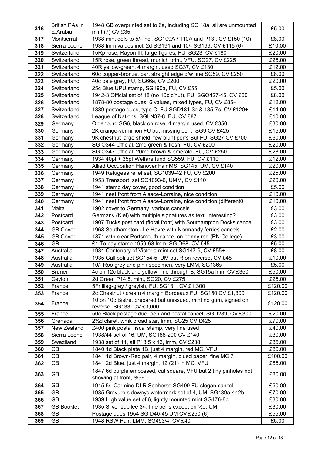|            | <b>British PAs in</b> | 1948 GB overprinted set to 6a, including SG 18a, all are unmounted                                                 |                  |
|------------|-----------------------|--------------------------------------------------------------------------------------------------------------------|------------------|
| 316        | E.Arabia              | mint (7) CV £35                                                                                                    | £5.00            |
| 317        | Montserrat            | 1938 mint defs to 5/- incl. SG109A / 110A and P13, CV £150 (10)                                                    | £8.00            |
| 318        | Sierra Leone          | 1938 Imm values incl. 2d SG191 and 10/- SG199, CV £115 (6)                                                         | £10.00           |
| 319        | Switzerland           | 15Rp rose, Rayon III, large figures, FU, SG23, CV £180                                                             | £20.00           |
| 320        | Switzerland           | 15R rose, green thread, munich print, VFU, SG27, CV £225                                                           | £25.00           |
| 321        | Switzerland           | 40R yellow-green, 4 margin, used SG37, CV £130                                                                     | £12.00           |
| 322        | Switzerland           | 60c copper-bronze, part straight edge o/w fine SG59, CV £250                                                       | £8.00            |
| 323        | Switzerland           | 40c pale grey, FU, SG66a, CV £200                                                                                  | £20.00           |
| 324        | Switzerland           | 25c Blue UPU stamp, SG190a, FU, CV £55                                                                             | £5.00            |
| 325        | Switzerland           | 1942-3 Official set of 18 (no 10c c'nut), FU, SGO427-45, CV £60                                                    | £8.00            |
| 326        | Switzerland           | 1878-80 postage dues, 6 values, mixed types, FU, CV £85+                                                           | £12.00           |
| 327        | Switzerland           | 1889 postage dues, type C, FU SGD181-3c & 185-7c, CV £120+                                                         | £14.00           |
| 328        | Switzerland           | League of Nations, SGLN37-8, FU, CV £87                                                                            | £10.00           |
| 329        | Germany               | Oldenburg SG6, black on rose, 4 margin used, CV £350                                                               | £30.00           |
| 330        | Germany               | 2K orange-vermillion FU but missing perf., SG9 CV £425                                                             | £15.00           |
| 331        | Germany               | 9K chestnut large shield, few blunt perfs But FU, SG27 CV £700<br>SG O344 Official, 2md green & flesh, FU, CV £200 | £60.00           |
| 332<br>333 | Germany<br>Germany    | SG O347 Official, 20md brown & emerald, FU, CV £250                                                                | £20.00<br>£28.00 |
| 334        | Germany               | 1934 40pf + 35pf Welfare fund SG559, FU, CV £110                                                                   | £12.00           |
| 335        | Germany               | Allied Occupation Hanover Fair MS, SG145, UM, CV £140                                                              | £20.00           |
| 336        | Germany               | 1949 Refugees relief set, SG1039-42 FU, CV £200                                                                    | £25.00           |
| 337        | Germany               | 1953 Transport set SG1093-6, UMM, CV £110                                                                          | £20.00           |
| 338        | Germany               | 1941 stamp day cover, good condition                                                                               | £5.00            |
| 339        | Germany               | 1941 neat front from Alsace-Lorraine, nice condition                                                               | £10.00           |
| 340        | Germany               | 1941 neat front from Alsace-Lorraine, nice condition (different0                                                   | £10.00           |
| 341        | Malta                 | 1902 cover to Germany, various cancels                                                                             | £3.00            |
| 342        | Postcard              | Germany (Kiel) with multiple signatures as text, interesting?                                                      | £3.00            |
| 343        | Postcard              | 1907 Tucks post card (floral front) with Southampton Docks cancel                                                  | £3.00            |
| 344        | <b>GB Cover</b>       | 1968 Southampton - Le Havre with Normandy ferries cancels                                                          | £2.00            |
| 345        | <b>GB Cover</b>       | 1871 with clear Portsmouth cancel on penny red (RN College)                                                        | £3.00            |
| 346        | <b>GB</b>             | £1 To pay stamp 1959-63 lmm, SG D68, CV £45                                                                        | £5.00            |
| 347        | Australia             | 1934 Centenary of Victoria mint set SG147-9, CV £55+                                                               | £8.00            |
| 348        | Australia             | 1935 Gallipoli set SG154-5, UM but R on reverse, CV £48                                                            | £10.00           |
| 349        | Australia             | 10/- Roo grey and pink specimen, very LMM, SG136s                                                                  | £5.00            |
| 350        | <b>Brunei</b>         | 4c on 12c black and yellow, line through B, SG15a Imm CV £350                                                      | £50.00           |
| 351        | Ceylon                | 2d Green P14.5, mint, SG20, CV £275                                                                                | £25.00           |
| 352        | France                | 5Fr lilag-grey / greyish, FU, SG131, CV £1,300                                                                     | £120.00          |
| 353        | France                | 2c Chestnut / cream 4 margin Bordeaux FU, SG150 CV £1,300                                                          | £120.00          |
| 354        | France                | 10 on 10c Bistre, prepared but unissued, mint no gum, signed on<br>reverse, SG133, CV £3,000                       | £120.00          |
| 355        | France                | 50c Black postage due, pen and postal cancel, SGD289, CV £300                                                      | £20.00           |
| 356        | Grenada               | 21/2d claret, wmk broad star, Imm, SG25 CV £425                                                                    | £70.00           |
| 357        | New Zealand           | £400 pink postal fiscal stamp, very fine used                                                                      | £40.00           |
| 358        | Sierra Leone          | 1938/44 set of 16, UM, SG188-200 CV £140                                                                           | £30.00           |
| 359        | Swaziland             | 1938 set of 11, all P13.5 x 13, Imm, CV £238                                                                       | £35.00           |
| 360        | <b>GB</b>             | 1840 1d Black plate 1B, just 4 margin, red MC, VFU                                                                 | £80.00           |
| 361        | <b>GB</b>             | 1841 1d Brown-Red pair, 4 margin, blued paper, fine MC 7                                                           | £100.00          |
| 362        | GВ                    | 1841 2d Blue, just 4 margin, 12 (21) in MC, VFU                                                                    | £85.00           |
| 363        | GB                    | 1847 6d purple embossed, cut square, VFU but 2 tiny pinholes not<br>showing at front, SG60                         | £80.00           |
| 364        | <b>GB</b>             | 1915 5/- Carmine DLR Seahorse SG409 FU slogan cancel                                                               | £50.00           |
| 365        | GВ                    | 1935 Gravure sideways watermark set of 4, UM, SG439a-442b                                                          | £70.00           |
| 366        | GB                    | 1939 High value set of 6, lightly mounted mint SG476-8c                                                            | £80.00           |
| 367        | <b>GB Booklet</b>     | 1935 Silver Jubilee 3/-, fine perfs except on 1/2d, UM                                                             | £30.00           |
| 368        | <b>GB</b>             | Postage dues 1954 SG D40-45 UM CV £250 (6)                                                                         | £55.00           |
| 369        | GB                    | 1948 RSW Pair, LMM, SG493/4, CV £40                                                                                | £6.00            |